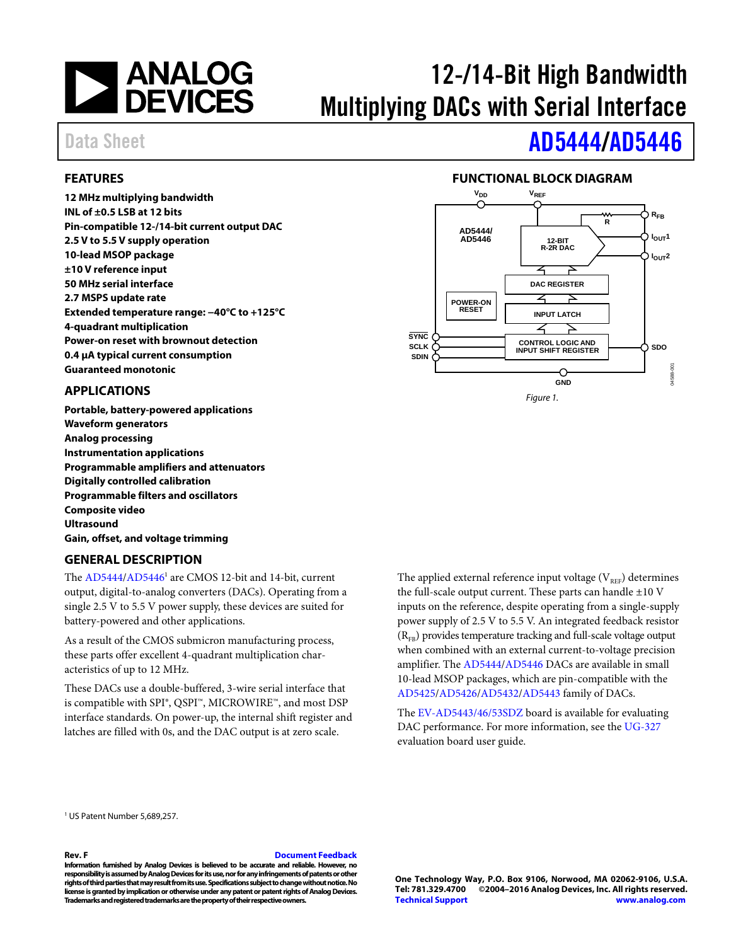# **EXAMALOG**<br>DEVICES

# 12-/14-Bit High Bandwidth Multiplying DACs with Serial Interface

### Data Sheet **[AD5444/](http://www.analog.com/ad5444?doc=ad5444_5446.pdf)[AD5446](http://www.analog.com/ad5446?doc=ad5444_5446.pdf)**

#### <span id="page-0-0"></span>**FEATURES**

**12 MHz multiplying bandwidth INL of ±0.5 LSB at 12 bits Pin-compatible 12-/14-bit current output DAC 2.5 V to 5.5 V supply operation 10-lead MSOP package ±10 V reference input 50 MHz serial interface 2.7 MSPS update rate Extended temperature range: −40°C to +125°C 4-quadrant multiplication Power-on reset with brownout detection 0.4 µA typical current consumption Guaranteed monotonic**

#### <span id="page-0-1"></span>**APPLICATIONS**

**Portable, battery-powered applications Waveform generators Analog processing Instrumentation applications Programmable amplifiers and attenuators Digitally controlled calibration Programmable filters and oscillators Composite video Ultrasound Gain, offset, and voltage trimming**

#### **GENERAL DESCRIPTION**

The [AD5444](http://www.analog.com/ad5444?doc=ad5444_5446.pdf)[/AD5446](http://www.analog.com/ad5446?doc=ad5444_5446.pdf)<sup>1</sup> are CMOS 12-bit and 14-bit, current output, digital-to-analog converters (DACs). Operating from a single 2.5 V to 5.5 V power supply, these devices are suited for battery-powered and other applications.

As a result of the CMOS submicron manufacturing process, these parts offer excellent 4-quadrant multiplication characteristics of up to 12 MHz.

These DACs use a double-buffered, 3-wire serial interface that is compatible with SPI®, QSPI™, MICROWIRE™, and most DSP interface standards. On power-up, the internal shift register and latches are filled with 0s, and the DAC output is at zero scale.

The applied external reference input voltage  $(V_{REF})$  determines the full-scale output current. These parts can handle  $\pm 10$  V inputs on the reference, despite operating from a single-supply power supply of 2.5 V to 5.5 V. An integrated feedback resistor  $(R_{FB})$  provides temperature tracking and full-scale voltage output when combined with an external current-to-voltage precision amplifier. Th[e AD5444](http://www.analog.com/ad5444?doc=ad5444_5446.pdf)[/AD5446](http://www.analog.com/ad5446?doc=ad5444_5446.pdf) DACs are available in small 10-lead MSOP packages, which are pin-compatible with the [AD5425/](http://www.analog.com/AD5425?doc=ad5444_5446.pdf)[AD5426/](http://www.analog.com/AD5426?doc=ad5444_5446.pdf)[AD5432/](http://www.analog.com/AD5432?doc=ad5444_5446.pdf)[AD5443](http://www.analog.com/AD5443?doc=ad5444_5446.pdf) family of DACs.

The [EV-AD5443/46/53SDZ](http://www.analog.com/ad5446?doc=ad5444_5446.pdf) board is available for evaluating DAC performance. For more information, see the [UG-327](http://www.analog.com/UG-327?doc=ad5444_5446.pdf) evaluation board user guide.

<sup>1</sup> US Patent Number 5,689,257.

#### **Rev. F [Document Feedback](https://form.analog.com/Form_Pages/feedback/documentfeedback.aspx?doc=AD5444_5446.pdf&product=AD5444%20AD5446&rev=F)**

**Information furnished by Analog Devices is believed to be accurate and reliable. However, no responsibility is assumed by Analog Devices for its use, nor for any infringements of patents or other rights of third parties that may result from its use. Specifications subject to change without notice. No license is granted by implication or otherwise under any patent or patent rights of Analog Devices. Trademarks and registered trademarks are the property of their respective owners.**

**One Technology Way, P.O. Box 9106, Norwood, MA 02062-9106, U.S.A. Tel: 781.329.4700 ©2004–2016 Analog Devices, Inc. All rights reserved. [Technical Support](http://www.analog.com/en/content/technical_support_page/fca.html) [www.analog.com](http://www.analog.com/)**

#### **FUNCTIONAL BLOCK DIAGRAM**

<span id="page-0-3"></span>

<span id="page-0-2"></span>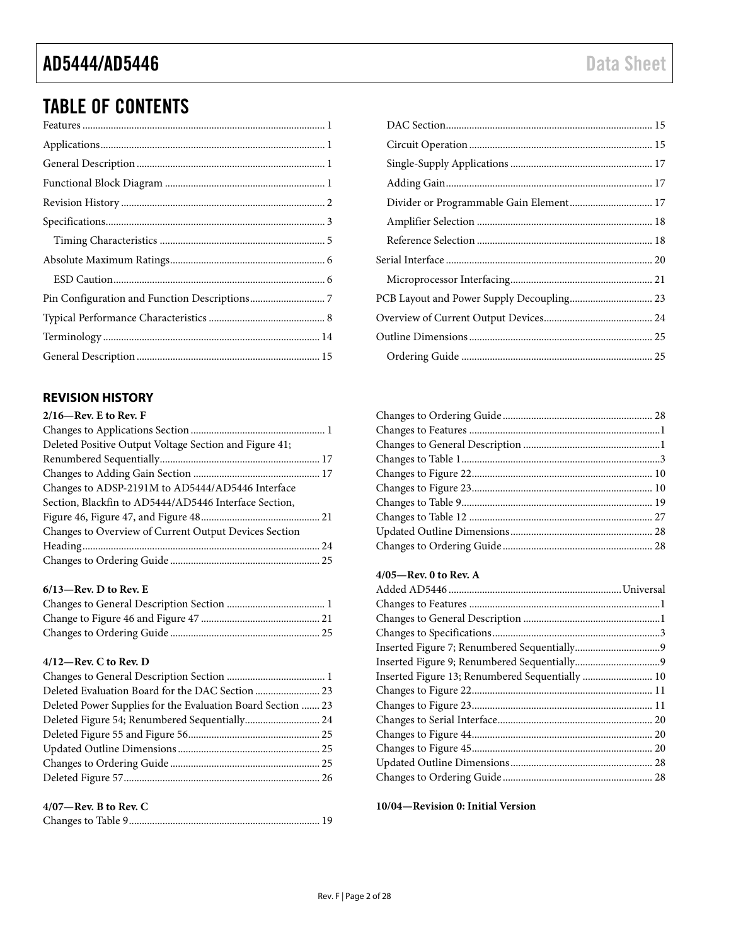### TABLE OF CONTENTS

### <span id="page-1-0"></span>**REVISION HISTORY**

| $2/16$ —Rev. E to Rev. F                               |  |
|--------------------------------------------------------|--|
|                                                        |  |
| Deleted Positive Output Voltage Section and Figure 41; |  |
|                                                        |  |
|                                                        |  |
| Changes to ADSP-2191M to AD5444/AD5446 Interface       |  |
| Section, Blackfin to AD5444/AD5446 Interface Section,  |  |
|                                                        |  |
| Changes to Overview of Current Output Devices Section  |  |
|                                                        |  |
|                                                        |  |
|                                                        |  |

#### **6/13—Rev. D to Rev. E**

#### **4/12—Rev. C to Rev. D**

| Deleted Evaluation Board for the DAC Section  23            |  |
|-------------------------------------------------------------|--|
| Deleted Power Supplies for the Evaluation Board Section  23 |  |
| Deleted Figure 54; Renumbered Sequentially 24               |  |
|                                                             |  |
|                                                             |  |
|                                                             |  |
|                                                             |  |
|                                                             |  |

| $4/07$ —Rev. B to Rev. C |  |
|--------------------------|--|
|                          |  |

#### **4/05—Rev. 0 to Rev. A**

**10/04—Revision 0: Initial Version**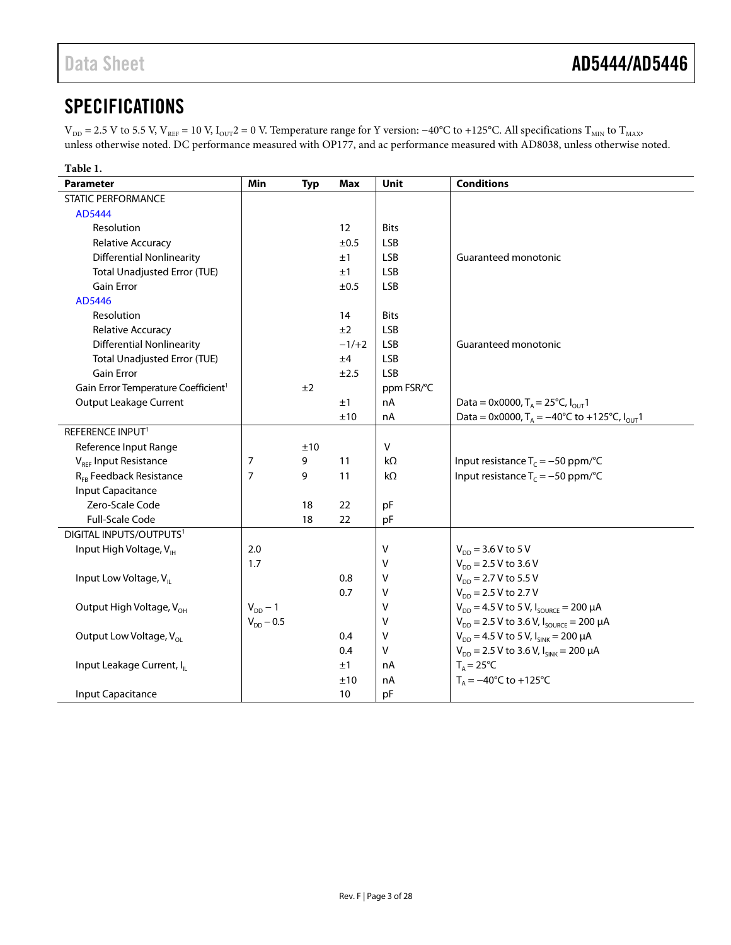### <span id="page-2-0"></span>**SPECIFICATIONS**

 $\rm{V_{DD}}$  = 2.5 V to 5.5 V, V $_{\rm{REF}}$  = 10 V, I $_{\rm{OUT}}$  = 0 V. Temperature range for Y version: −40°C to +125°C. All specifications  $\rm{T_{MIN}}$  to  $\rm{T_{MAX}}$ unless otherwise noted. DC performance measured with OP177, and ac performance measured with AD8038, unless otherwise noted.

<span id="page-2-1"></span>

| Table 1.                                        |                |            |           |             |                                                            |
|-------------------------------------------------|----------------|------------|-----------|-------------|------------------------------------------------------------|
| <b>Parameter</b>                                | <b>Min</b>     | <b>Typ</b> | Max       | <b>Unit</b> | <b>Conditions</b>                                          |
| <b>STATIC PERFORMANCE</b>                       |                |            |           |             |                                                            |
| AD5444                                          |                |            |           |             |                                                            |
| Resolution                                      |                |            | 12        | <b>Bits</b> |                                                            |
| Relative Accuracy                               |                |            | $\pm 0.5$ | <b>LSB</b>  |                                                            |
| <b>Differential Nonlinearity</b>                |                |            | ±1        | <b>LSB</b>  | Guaranteed monotonic                                       |
| <b>Total Unadjusted Error (TUE)</b>             |                |            | ±1        | <b>LSB</b>  |                                                            |
| <b>Gain Error</b>                               |                |            | ±0.5      | <b>LSB</b>  |                                                            |
| AD5446                                          |                |            |           |             |                                                            |
| Resolution                                      |                |            | 14        | <b>Bits</b> |                                                            |
| Relative Accuracy                               |                |            | ±2        | <b>LSB</b>  |                                                            |
| <b>Differential Nonlinearity</b>                |                |            | $-1/+2$   | <b>LSB</b>  | Guaranteed monotonic                                       |
| <b>Total Unadjusted Error (TUE)</b>             |                |            | ±4        | <b>LSB</b>  |                                                            |
| <b>Gain Error</b>                               |                |            | ±2.5      | <b>LSB</b>  |                                                            |
| Gain Error Temperature Coefficient <sup>1</sup> |                | ±2         |           | ppm FSR/°C  |                                                            |
| <b>Output Leakage Current</b>                   |                |            | ±1        | nA          | Data = 0x0000, $T_A = 25^{\circ}C$ , $I_{OUT}$ 1           |
|                                                 |                |            | ±10       | nA          | Data = 0x0000, $T_A = -40^{\circ}C$ to +125°C, $I_{OUT}$ 1 |
| REFERENCE INPUT <sup>1</sup>                    |                |            |           |             |                                                            |
| Reference Input Range                           |                | ±10        |           | V           |                                                            |
| V <sub>REF</sub> Input Resistance               | 7              | 9          | 11        | kΩ          | Input resistance $T_c = -50$ ppm/°C                        |
| R <sub>FB</sub> Feedback Resistance             | $\overline{7}$ | 9          | 11        | $k\Omega$   | Input resistance $T_c = -50$ ppm/°C                        |
| <b>Input Capacitance</b>                        |                |            |           |             |                                                            |
| Zero-Scale Code                                 |                | 18         | 22        | pF          |                                                            |
| <b>Full-Scale Code</b>                          |                | 18         | 22        | pF          |                                                            |
| DIGITAL INPUTS/OUTPUTS <sup>1</sup>             |                |            |           |             |                                                            |
| Input High Voltage, V <sub>IH</sub>             | 2.0            |            |           | v           | $V_{DD}$ = 3.6 V to 5 V                                    |
|                                                 | 1.7            |            |           | v           | $V_{DD}$ = 2.5 V to 3.6 V                                  |
| Input Low Voltage, V <sub>II</sub>              |                |            | 0.8       | v           | $V_{\text{DD}} = 2.7 V$ to 5.5 V                           |
|                                                 |                |            | 0.7       | V           | $V_{DD}$ = 2.5 V to 2.7 V                                  |
| Output High Voltage, V <sub>OH</sub>            | $V_{DD}$ – 1   |            |           | v           | $V_{DD} = 4.5 V$ to 5 V, $I_{SOLRCE} = 200 \mu A$          |
|                                                 | $V_{DD} - 0.5$ |            |           | V           | $V_{DD}$ = 2.5 V to 3.6 V, $I_{SOLRCE}$ = 200 µA           |
| Output Low Voltage, V <sub>ol</sub>             |                |            | 0.4       | V           | $V_{DD} = 4.5 V$ to 5 V, $I_{SINK} = 200 \mu A$            |
|                                                 |                |            | 0.4       | V           | $V_{DD}$ = 2.5 V to 3.6 V, $I_{SINK}$ = 200 µA             |
| Input Leakage Current, I <sub>IL</sub>          |                |            | ±1        | nA          | $T_A = 25^{\circ}C$                                        |
|                                                 |                |            | ±10       | nA          | $T_A = -40^{\circ}C$ to $+125^{\circ}C$                    |
| <b>Input Capacitance</b>                        |                |            | 10        | pF          |                                                            |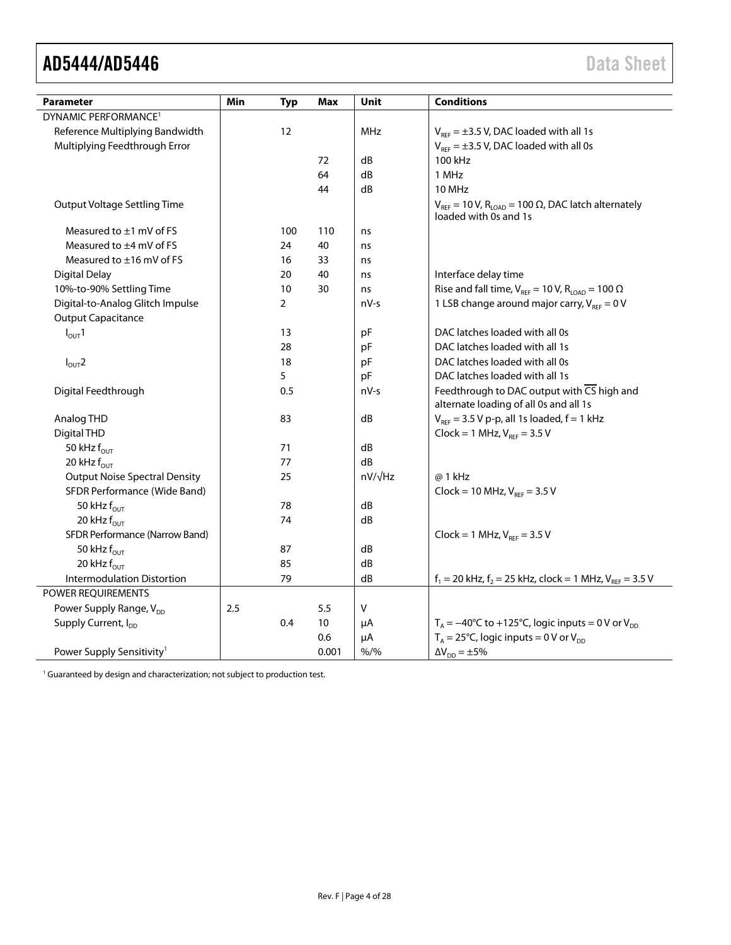$\overline{a}$ 

<span id="page-3-0"></span>

| <b>Parameter</b>                                              | Min | <b>Typ</b>        | Max   | Unit           | <b>Conditions</b>                                                                                   |
|---------------------------------------------------------------|-----|-------------------|-------|----------------|-----------------------------------------------------------------------------------------------------|
| DYNAMIC PERFORMANCE <sup>1</sup>                              |     |                   |       |                |                                                                                                     |
| Reference Multiplying Bandwidth                               |     | $12 \overline{ }$ |       | MHz            | $V_{REF} = \pm 3.5$ V, DAC loaded with all 1s                                                       |
| Multiplying Feedthrough Error                                 |     |                   |       |                | $V_{REF} = \pm 3.5$ V, DAC loaded with all 0s                                                       |
|                                                               |     |                   | 72    | dB             | 100 kHz                                                                                             |
|                                                               |     |                   | 64    | dB             | 1 MHz                                                                                               |
|                                                               |     |                   | 44    | dB             | <b>10 MHz</b>                                                                                       |
| <b>Output Voltage Settling Time</b>                           |     |                   |       |                | $V_{REF}$ = 10 V, R <sub>LOAD</sub> = 100 $\Omega$ , DAC latch alternately<br>loaded with 0s and 1s |
| Measured to $\pm 1$ mV of FS                                  |     | 100               | 110   | ns             |                                                                                                     |
| Measured to $\pm 4$ mV of FS                                  |     | 24                | 40    | ns             |                                                                                                     |
| Measured to $\pm$ 16 mV of FS                                 |     | 16                | 33    | ns             |                                                                                                     |
| <b>Digital Delay</b>                                          |     | 20                | 40    | ns             | Interface delay time                                                                                |
| 10%-to-90% Settling Time                                      |     | 10                | 30    | ns             | Rise and fall time, $V_{REF}$ = 10 V, R <sub>LOAD</sub> = 100 $\Omega$                              |
| Digital-to-Analog Glitch Impulse<br><b>Output Capacitance</b> |     | 2                 |       | nV-s           | 1 LSB change around major carry, $V_{REF} = 0 V$                                                    |
| $I_{OUT}1$                                                    |     | 13                |       | pF             | DAC latches loaded with all 0s                                                                      |
|                                                               |     | 28                |       | pF             | DAC latches loaded with all 1s                                                                      |
| $I_{OUT}$ 2                                                   |     | 18                |       | pF             | DAC latches loaded with all 0s                                                                      |
|                                                               |     | 5                 |       | pF             | DAC latches loaded with all 1s                                                                      |
| Digital Feedthrough                                           |     | 0.5               |       | $nV-s$         | Feedthrough to DAC output with $\overline{CS}$ high and<br>alternate loading of all 0s and all 1s   |
| Analog THD                                                    |     | 83                |       | dB             | $V_{REF}$ = 3.5 V p-p, all 1s loaded, $f = 1$ kHz                                                   |
| Digital THD                                                   |     |                   |       |                | $Clock = 1 MHz, VREF = 3.5 V$                                                                       |
| 50 kHz $f_{\text{OUT}}$                                       |     | 71                |       | dB             |                                                                                                     |
| 20 kHz $f_{\text{OUT}}$                                       |     | 77                |       | dB             |                                                                                                     |
| <b>Output Noise Spectral Density</b>                          |     | 25                |       | $nV/\sqrt{Hz}$ | @ 1 kHz                                                                                             |
| SFDR Performance (Wide Band)                                  |     |                   |       |                | $Clock = 10 MHz, V_{REF} = 3.5 V$                                                                   |
| 50 kHz $f_{\text{OUT}}$                                       |     | 78                |       | dB             |                                                                                                     |
| 20 kHz $f_{\text{OUT}}$                                       |     | 74                |       | dB             |                                                                                                     |
| SFDR Performance (Narrow Band)                                |     |                   |       |                | $Clock = 1 MHz, VREF = 3.5 V$                                                                       |
| 50 kHz $f_{\text{OUT}}$                                       |     | 87                |       | dB             |                                                                                                     |
| 20 kHz $f_{\text{OUT}}$                                       |     | 85                |       | dB             |                                                                                                     |
| <b>Intermodulation Distortion</b>                             |     | 79                |       | dB             | $f_1 = 20$ kHz, $f_2 = 25$ kHz, clock = 1 MHz, $V_{RFF} = 3.5$ V                                    |
| <b>POWER REOUIREMENTS</b>                                     |     |                   |       |                |                                                                                                     |
| Power Supply Range, V <sub>DD</sub>                           | 2.5 |                   | 5.5   | $\sf V$        |                                                                                                     |
| Supply Current, I <sub>DD</sub>                               |     | 0.4               | 10    | μA             | $T_A = -40^{\circ}$ C to +125°C, logic inputs = 0 V or V <sub>pp</sub>                              |
|                                                               |     |                   | 0.6   | μA             | $T_A = 25^{\circ}$ C, logic inputs = 0 V or V <sub>pp</sub>                                         |
| Power Supply Sensitivity <sup>1</sup>                         |     |                   | 0.001 | $% /$ %        | $\Delta V_{DD} = \pm 5\%$                                                                           |

 $1$  Guaranteed by design and characterization; not subject to production test.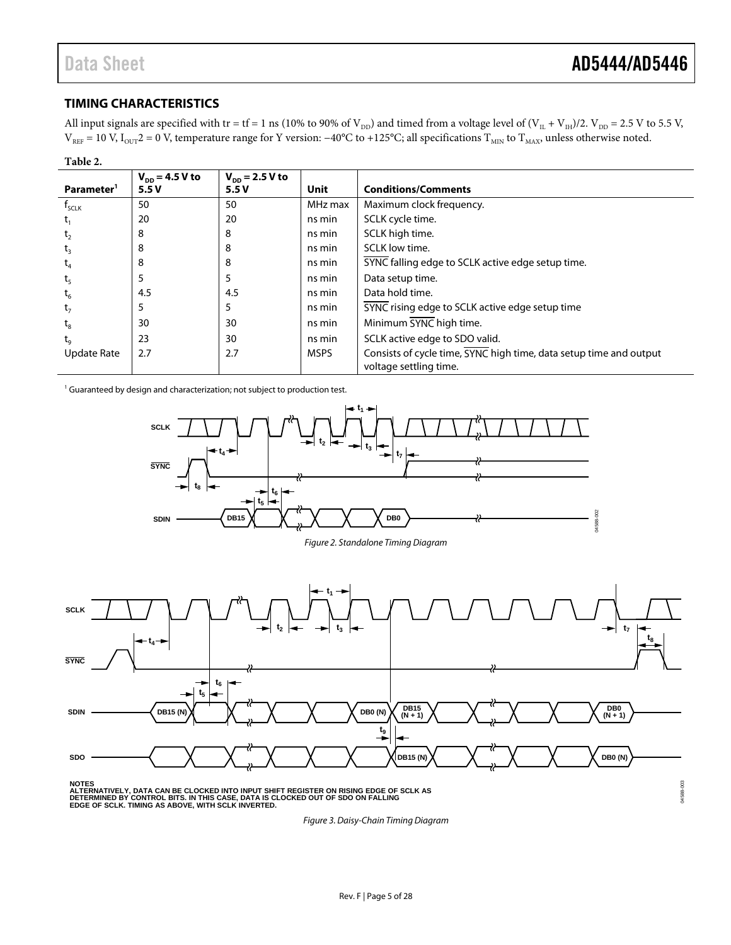04588-

#### <span id="page-4-0"></span>**TIMING CHARACTERISTICS**

All input signals are specified with tr = tf = 1 ns (10% to 90% of  $V_{DD}$ ) and timed from a voltage level of ( $V_{IL} + V_{IH}$ )/2.  $V_{DD} = 2.5$  V to 5.5 V,  $V_{REF}$  = 10 V,  $I_{OUT}$ 2 = 0 V, temperature range for Y version: −40°C to +125°C; all specifications  $T_{MIN}$  to  $T_{MAX}$ , unless otherwise noted.

| Table 2.               |                             |                                    |             |                                                                    |
|------------------------|-----------------------------|------------------------------------|-------------|--------------------------------------------------------------------|
| Parameter <sup>1</sup> | $V_{DD} = 4.5 V to$<br>5.5V | $V_{\text{DD}} = 2.5 V$ to<br>5.5V | <b>Unit</b> | <b>Conditions/Comments</b>                                         |
| $f_{\text{SCLK}}$      | 50                          | 50                                 | MHz max     | Maximum clock frequency.                                           |
|                        | 20                          | 20                                 | ns min      | SCLK cycle time.                                                   |
| τ,                     | 8                           | 8                                  | ns min      | SCLK high time.                                                    |
| $\tau_{3}$             | 8                           | 8                                  | ns min      | SCLK low time.                                                     |
| ι,                     | 8                           | 8                                  | ns min      | SYNC falling edge to SCLK active edge setup time.                  |
|                        | 5                           | 5                                  | ns min      | Data setup time.                                                   |
|                        | 4.5                         | 4.5                                | ns min      | Data hold time.                                                    |
|                        | 5                           | 5                                  | ns min      | SYNC rising edge to SCLK active edge setup time                    |
| $\bm{{\mathsf{t}}}_8$  | 30                          | 30                                 | ns min      | Minimum SYNC high time.                                            |
| t.                     | 23                          | 30                                 | ns min      | SCLK active edge to SDO valid.                                     |
| Update Rate            | 2.7                         | 2.7                                | <b>MSPS</b> | Consists of cycle time, SYNC high time, data setup time and output |
|                        |                             |                                    |             | voltage settling time.                                             |

<sup>1</sup> Guaranteed by design and characterization; not subject to production test.







NOTES<br>ALTERNATIVELY, DATA CAN BE CLOCKED INTO INPUT SHIFT REGISTER ON RISING EDGE OF SCLK AS<br>DETERMINED BY CONTROL BITS. IN THIS CASE, DATA IS CLOCKED OUT OF SDO ON FALLING<br>EDGE OF SCLK. TIMING AS ABOVE, WITH SCLK INVERTED

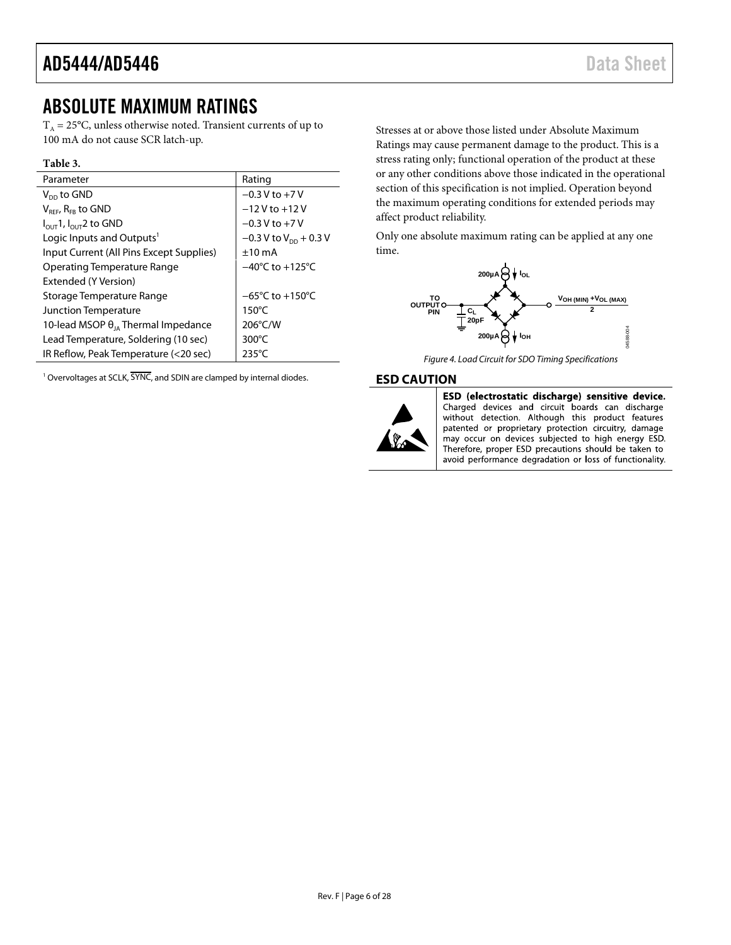### <span id="page-5-0"></span>ABSOLUTE MAXIMUM RATINGS

 $T_A = 25$ °C, unless otherwise noted. Transient currents of up to 100 mA do not cause SCR latch-up.

#### **Table 3.**

| Parameter                                     | Rating                              |
|-----------------------------------------------|-------------------------------------|
| $V_{\text{nn}}$ to GND                        | $-0.3$ V to $+7$ V                  |
| $V_{REF}$ , R <sub>FB</sub> to GND            | $-12V$ to $+12V$                    |
| $I_{\text{OUT}}$ 1, $I_{\text{OUT}}$ 2 to GND | $-0.3 V$ to $+7V$                   |
| Logic Inputs and Outputs <sup>1</sup>         | $-0.3$ V to V <sub>pp</sub> + 0.3 V |
| Input Current (All Pins Except Supplies)      | ±10mA                               |
| <b>Operating Temperature Range</b>            | $-40^{\circ}$ C to $+125^{\circ}$ C |
| Extended (Y Version)                          |                                     |
| Storage Temperature Range                     | $-65^{\circ}$ C to $+150^{\circ}$ C |
| Junction Temperature                          | $150^{\circ}$ C                     |
| 10-lead MSOP $\theta_{10}$ Thermal Impedance  | 206°C/W                             |
| Lead Temperature, Soldering (10 sec)          | $300^{\circ}$ C                     |
| IR Reflow, Peak Temperature (<20 sec)         | $235^{\circ}$ C                     |

<sup>1</sup> Overvoltages at SCLK, SYNC, and SDIN are clamped by internal diodes.

Stresses at or above those listed under Absolute Maximum Ratings may cause permanent damage to the product. This is a stress rating only; functional operation of the product at these or any other conditions above those indicated in the operational section of this specification is not implied. Operation beyond the maximum operating conditions for extended periods may affect product reliability.

Only one absolute maximum rating can be applied at any one time.



*Figure 4. Load Circuit for SDO Timing Specifications*

#### <span id="page-5-1"></span>**ESD CAUTION**



ESD (electrostatic discharge) sensitive device. Charged devices and circuit boards can discharge without detection. Although this product features patented or proprietary protection circuitry, damage may occur on devices subjected to high energy ESD. Therefore, proper ESD precautions should be taken to avoid performance degradation or loss of functionality.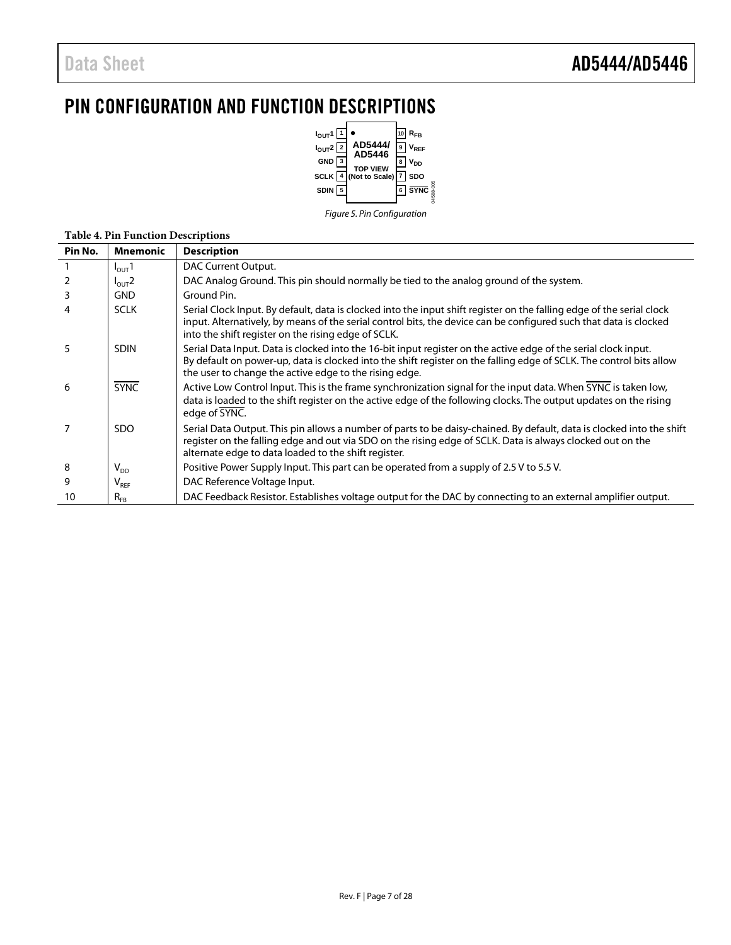## <span id="page-6-0"></span>PIN CONFIGURATION AND FUNCTION DESCRIPTIONS



*Figure 5. Pin Configuration*

#### **Table 4. Pin Function Descriptions**

| Pin No.        | <b>Mnemonic</b>             | <b>Description</b>                                                                                                                                                                                                                                                                                |
|----------------|-----------------------------|---------------------------------------------------------------------------------------------------------------------------------------------------------------------------------------------------------------------------------------------------------------------------------------------------|
|                | $I_{\text{OUT}}$ 1          | DAC Current Output.                                                                                                                                                                                                                                                                               |
| 2              | $I_{\text{OUT}}$ 2          | DAC Analog Ground. This pin should normally be tied to the analog ground of the system.                                                                                                                                                                                                           |
| 3              | <b>GND</b>                  | Ground Pin.                                                                                                                                                                                                                                                                                       |
| 4              | <b>SCLK</b>                 | Serial Clock Input. By default, data is clocked into the input shift register on the falling edge of the serial clock<br>input. Alternatively, by means of the serial control bits, the device can be configured such that data is clocked<br>into the shift register on the rising edge of SCLK. |
| 5              | <b>SDIN</b>                 | Serial Data Input. Data is clocked into the 16-bit input register on the active edge of the serial clock input.<br>By default on power-up, data is clocked into the shift register on the falling edge of SCLK. The control bits allow<br>the user to change the active edge to the rising edge.  |
| 6              | <b>SYNC</b>                 | Active Low Control Input. This is the frame synchronization signal for the input data. When SYNC is taken low,<br>data is loaded to the shift register on the active edge of the following clocks. The output updates on the rising<br>edge of SYNC.                                              |
| $\overline{7}$ | <b>SDO</b>                  | Serial Data Output. This pin allows a number of parts to be daisy-chained. By default, data is clocked into the shift<br>register on the falling edge and out via SDO on the rising edge of SCLK. Data is always clocked out on the<br>alternate edge to data loaded to the shift register.       |
| 8              | $\mathsf{V}_{\mathsf{DD}}$  | Positive Power Supply Input. This part can be operated from a supply of 2.5 V to 5.5 V.                                                                                                                                                                                                           |
| 9              | $\mathsf{V}_{\mathsf{REF}}$ | DAC Reference Voltage Input.                                                                                                                                                                                                                                                                      |
| 10             | $R_{FB}$                    | DAC Feedback Resistor. Establishes voltage output for the DAC by connecting to an external amplifier output.                                                                                                                                                                                      |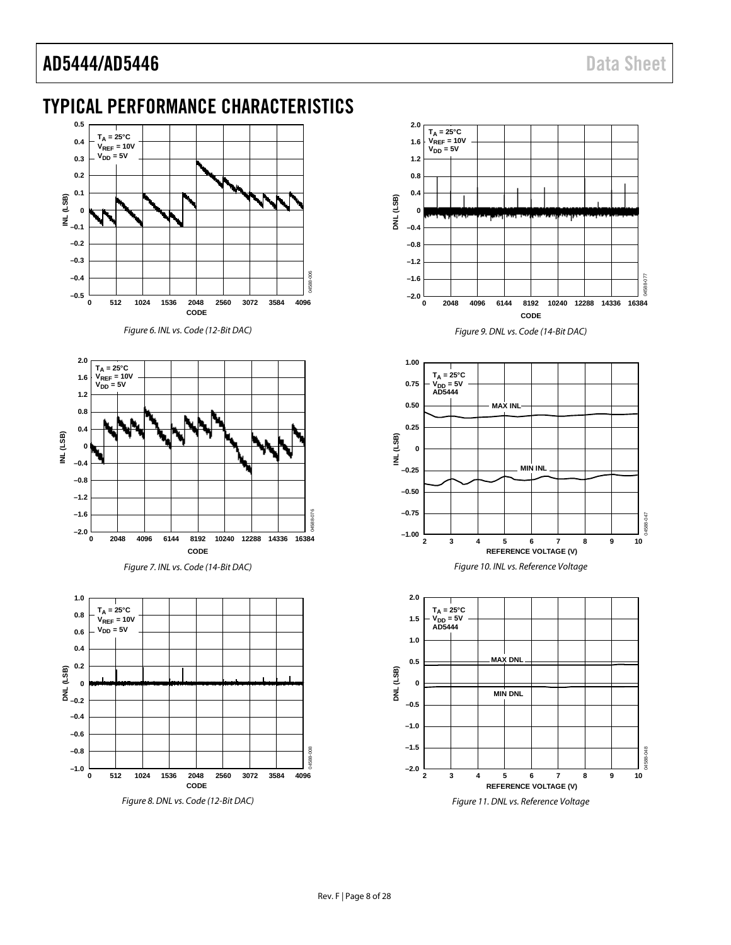### <span id="page-7-0"></span>TYPICAL PERFORMANCE CHARACTERISTICS



*Figure 6. INL vs. Code (12-Bit DAC)* 









*Figure 9. DNL vs. Code (14-Bit DAC)*





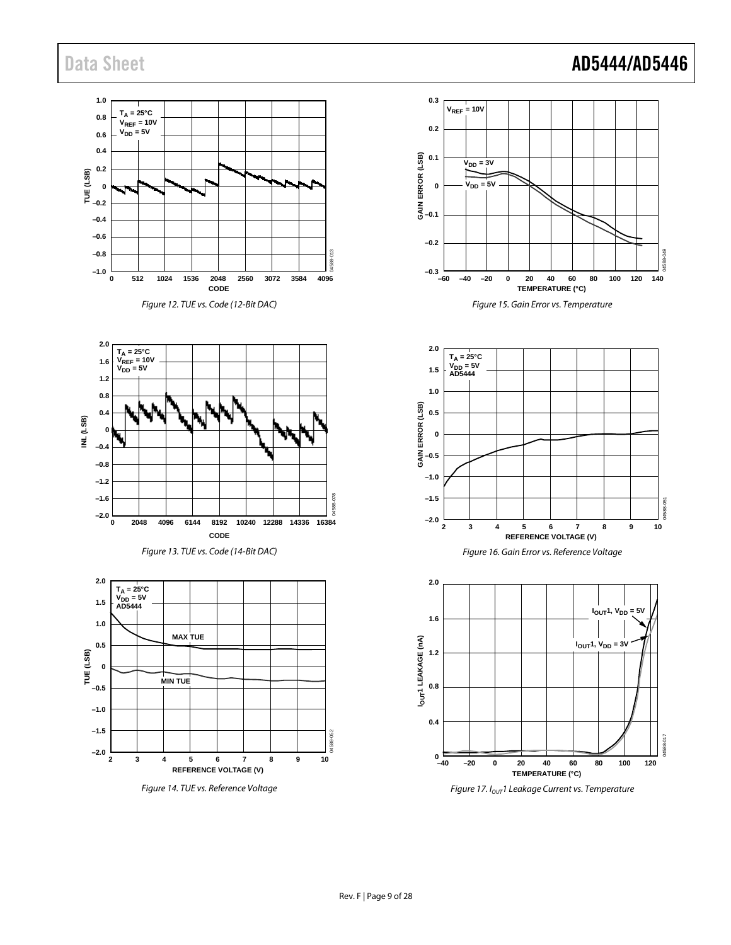### Data Sheet **AD5444/AD5446**

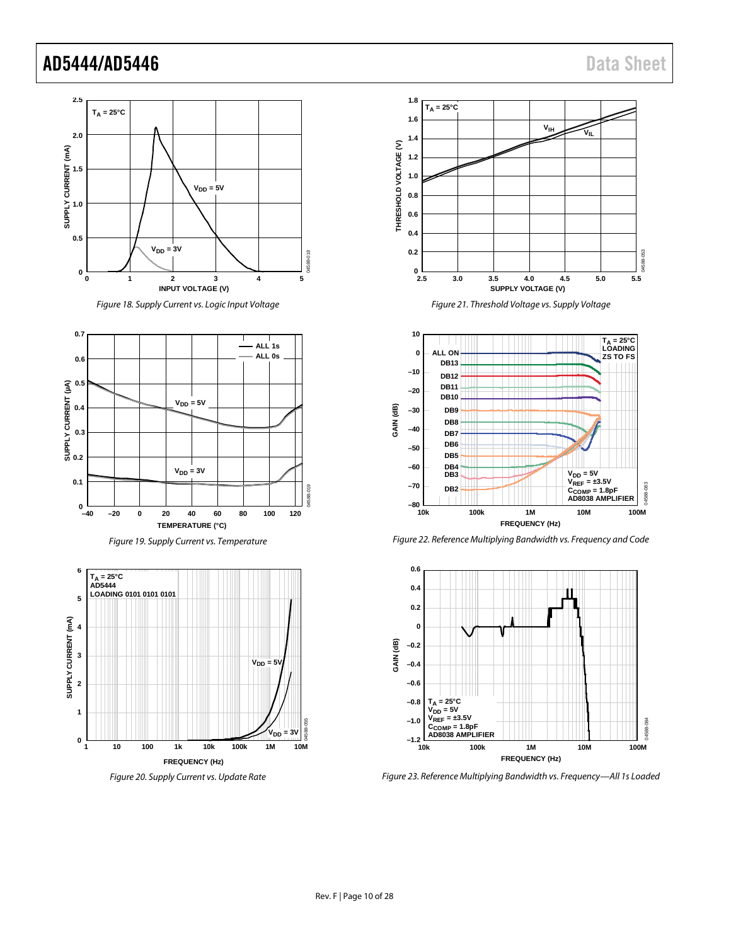

*Figure 18. Supply Current vs. Logic Input Voltage*



*Figure 19. Supply Current vs. Temperature*





*Figure 21. Threshold Voltage vs. Supply Voltage*



*Figure 22. Reference Multiplying Bandwidth vs. Frequency and Code*



*Figure 23. Reference Multiplying Bandwidth vs. Frequency—All 1s Loaded*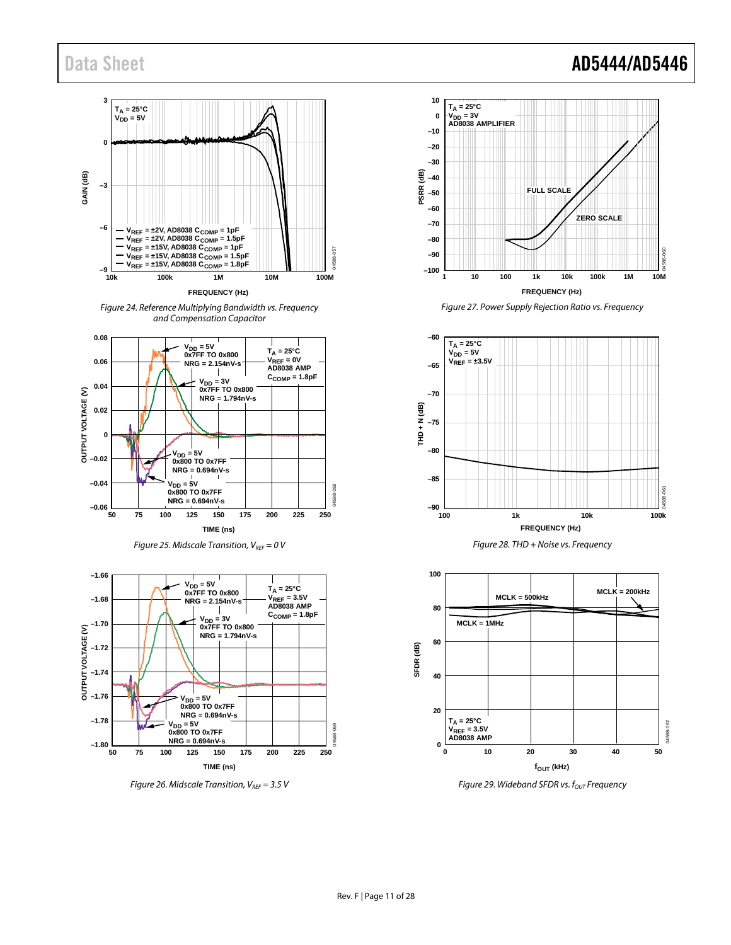

*Figure 24. Reference Multiplying Bandwidth vs. Frequency and Compensation Capacitor*











*Figure 27. Power Supply Rejection Ratio vs. Frequency*







*Figure 29. Wideband SFDR vs. f<sub>OUT</sub> Frequency* 

### Data Sheet **AD5444/AD5446**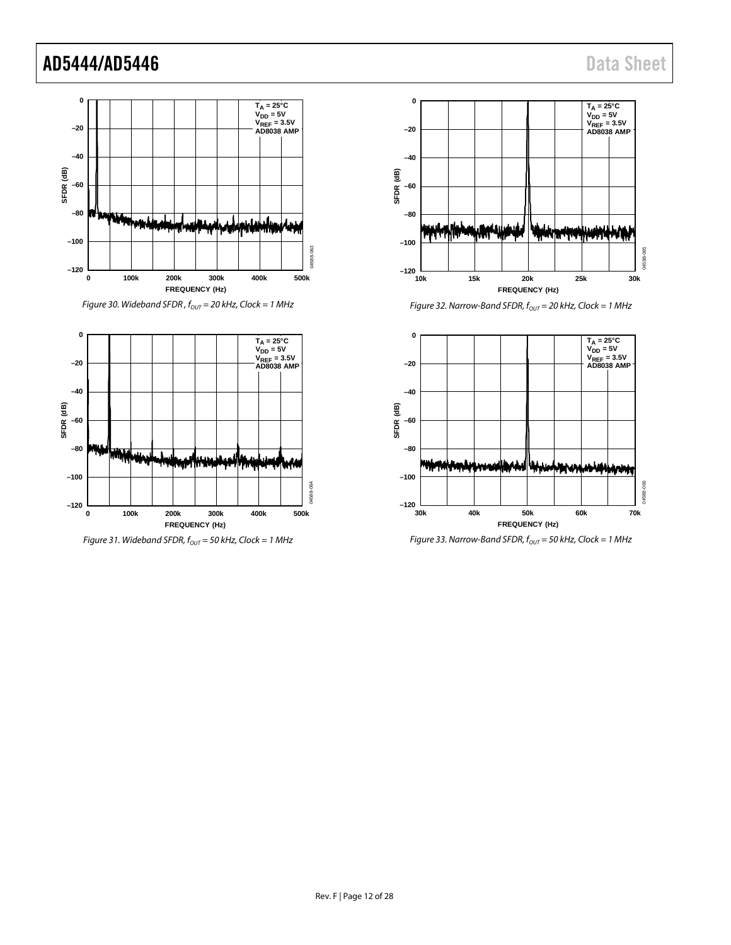





*Figure 31. Wideband SFDR, f<sub>OUT</sub>* = 50 kHz, Clock = 1 MHz



*Figure 32. Narrow-Band SFDR, f<sub>OUT</sub>* = 20 kHz, Clock = 1 MHz



*Figure 33. Narrow-Band SFDR,*  $f_{OUT}$  = 50 kHz, Clock = 1 MHz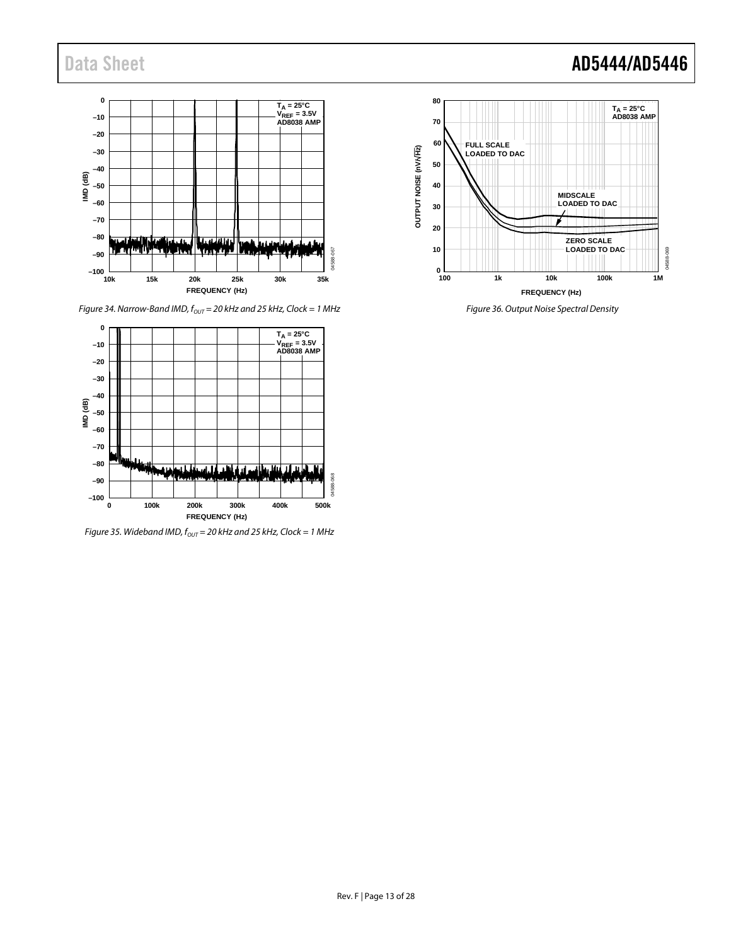

*Figure 34. Narrow-Band IMD,*  $f_{OUT} = 20$  *kHz and 25 kHz, Clock = 1 MHz* 



*Figure 35. Wideband IMD, f*<sub>OUT</sub> = 20 kHz and 25 kHz, Clock = 1 MHz



*Figure 36. Output Noise Spectral Density*

### Data Sheet **AD5444/AD5446**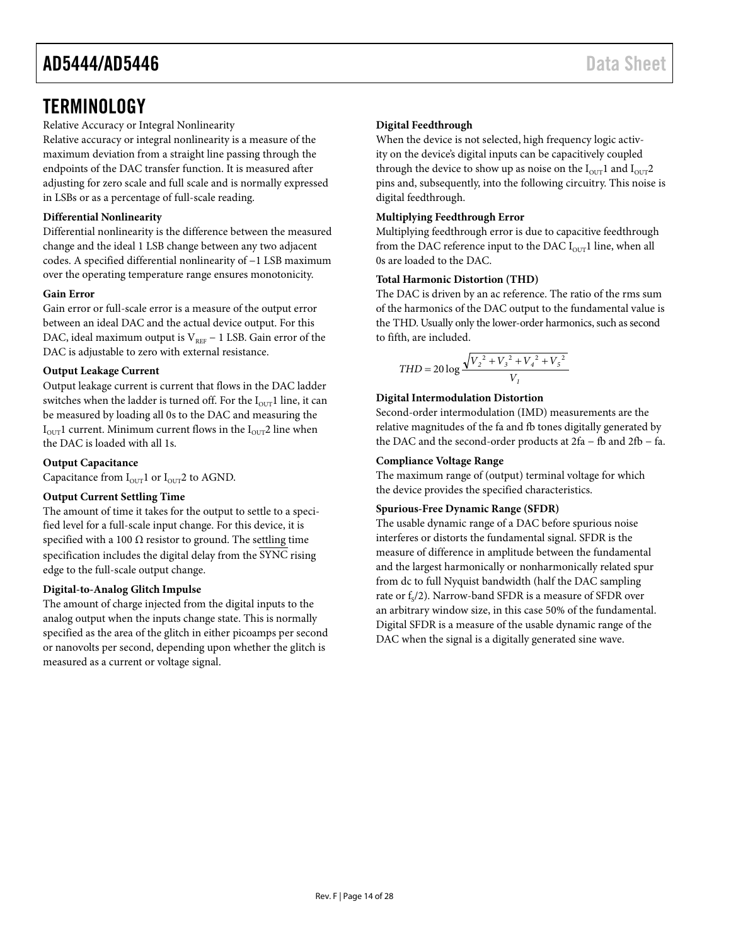### <span id="page-13-0"></span>**TERMINOLOGY**

Relative Accuracy or Integral Nonlinearity

Relative accuracy or integral nonlinearity is a measure of the maximum deviation from a straight line passing through the endpoints of the DAC transfer function. It is measured after adjusting for zero scale and full scale and is normally expressed in LSBs or as a percentage of full-scale reading.

#### **Differential Nonlinearity**

Differential nonlinearity is the difference between the measured change and the ideal 1 LSB change between any two adjacent codes. A specified differential nonlinearity of −1 LSB maximum over the operating temperature range ensures monotonicity.

#### **Gain Error**

Gain error or full-scale error is a measure of the output error between an ideal DAC and the actual device output. For this DAC, ideal maximum output is  $V_{REF}$  – 1 LSB. Gain error of the DAC is adjustable to zero with external resistance.

#### **Output Leakage Current**

Output leakage current is current that flows in the DAC ladder switches when the ladder is turned off. For the  $I<sub>OUT</sub>1$  line, it can be measured by loading all 0s to the DAC and measuring the  $I_{\text{OUT}}$ 1 current. Minimum current flows in the  $I_{\text{OUT}}$ 2 line when the DAC is loaded with all 1s.

#### **Output Capacitance**

Capacitance from  $I_{\text{OUT}}1$  or  $I_{\text{OUT}}2$  to AGND.

#### **Output Current Settling Time**

The amount of time it takes for the output to settle to a specified level for a full-scale input change. For this device, it is specified with a 100  $\Omega$  resistor to ground. The settling time specification includes the digital delay from the SYNC rising edge to the full-scale output change.

#### **Digital-to-Analog Glitch Impulse**

The amount of charge injected from the digital inputs to the analog output when the inputs change state. This is normally specified as the area of the glitch in either picoamps per second or nanovolts per second, depending upon whether the glitch is measured as a current or voltage signal.

#### **Digital Feedthrough**

When the device is not selected, high frequency logic activity on the device's digital inputs can be capacitively coupled through the device to show up as noise on the  $I_{\text{OUT}}$ 1 and  $I_{\text{OUT}}$ 2 pins and, subsequently, into the following circuitry. This noise is digital feedthrough.

#### **Multiplying Feedthrough Error**

Multiplying feedthrough error is due to capacitive feedthrough from the DAC reference input to the DAC  $I_{\text{OUT}}1$  line, when all 0s are loaded to the DAC.

#### **Total Harmonic Distortion (THD)**

The DAC is driven by an ac reference. The ratio of the rms sum of the harmonics of the DAC output to the fundamental value is the THD. Usually only the lower-order harmonics, such as second to fifth, are included.

$$
THD = 20 \log \frac{\sqrt{V_2^2 + V_3^2 + V_4^2 + V_5^2}}{V_1}
$$

#### **Digital Intermodulation Distortion**

Second-order intermodulation (IMD) measurements are the relative magnitudes of the fa and fb tones digitally generated by the DAC and the second-order products at 2fa − fb and 2fb − fa.

#### **Compliance Voltage Range**

The maximum range of (output) terminal voltage for which the device provides the specified characteristics.

#### **Spurious-Free Dynamic Range (SFDR)**

The usable dynamic range of a DAC before spurious noise interferes or distorts the fundamental signal. SFDR is the measure of difference in amplitude between the fundamental and the largest harmonically or nonharmonically related spur from dc to full Nyquist bandwidth (half the DAC sampling rate or  $f_s/2$ ). Narrow-band SFDR is a measure of SFDR over an arbitrary window size, in this case 50% of the fundamental. Digital SFDR is a measure of the usable dynamic range of the DAC when the signal is a digitally generated sine wave.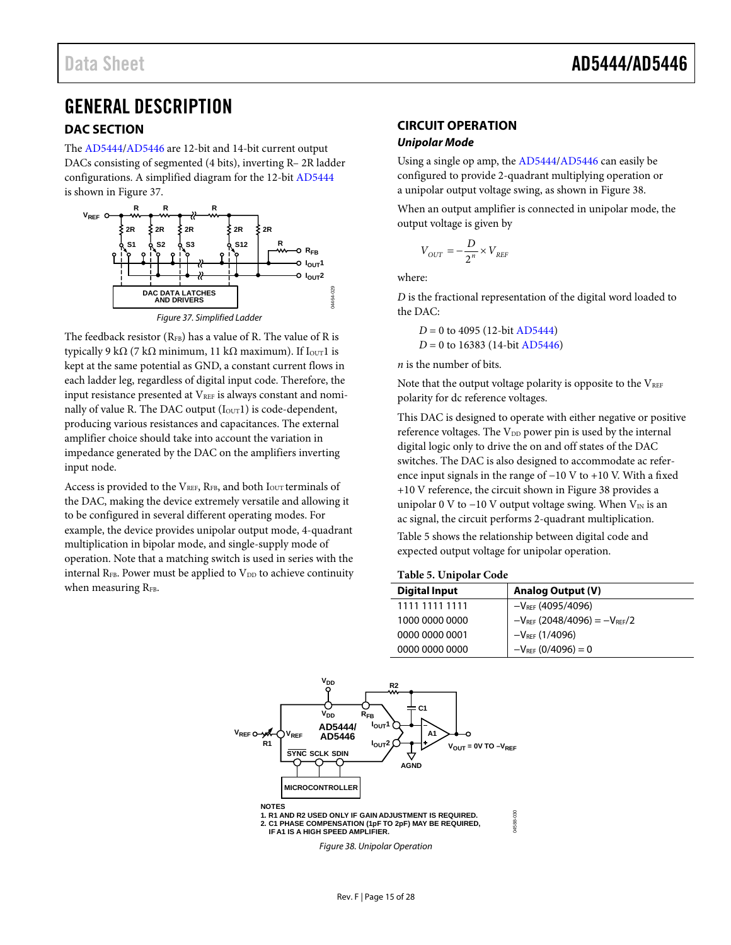### <span id="page-14-0"></span>GENERAL DESCRIPTION

#### <span id="page-14-1"></span>**DAC SECTION**

The [AD5444/](http://www.analog.com/ad5444?doc=ad5444_5446.pdf)[AD5446 a](http://www.analog.com/ad5446?doc=ad5444_5446.pdf)re 12-bit and 14-bit current output DACs consisting of segmented (4 bits), inverting R– 2R ladder configurations. A simplified diagram for the 12-bit [AD5444](http://www.analog.com/ad5444?doc=ad5444_5446.pdf) is shown in [Figure 37.](#page-14-3) 



<span id="page-14-3"></span>The feedback resistor  $(R_{FB})$  has a value of R. The value of R is typically 9 kΩ (7 kΩ minimum, 11 kΩ maximum). If  $I_{\text{OUT}}$ 1 is kept at the same potential as GND, a constant current flows in each ladder leg, regardless of digital input code. Therefore, the input resistance presented at VREF is always constant and nominally of value R. The DAC output  $(I<sub>OUT</sub>1)$  is code-dependent, producing various resistances and capacitances. The external amplifier choice should take into account the variation in impedance generated by the DAC on the amplifiers inverting input node.

Access is provided to the  $V_{REF}$ , R<sub>FB</sub>, and both I<sub>OUT</sub> terminals of the DAC, making the device extremely versatile and allowing it to be configured in several different operating modes. For example, the device provides unipolar output mode, 4-quadrant multiplication in bipolar mode, and single-supply mode of operation. Note that a matching switch is used in series with the internal R<sub>FB</sub>. Power must be applied to  $V_{DD}$  to achieve continuity when measuring RFB.

### <span id="page-14-2"></span>**CIRCUIT OPERATION**

#### **Unipolar Mode**

Using a single op amp, th[e AD5444/](http://www.analog.com/ad5444?doc=ad5444_5446.pdf)[AD5446 c](http://www.analog.com/ad5446?doc=ad5444_5446.pdf)an easily be configured to provide 2-quadrant multiplying operation or a unipolar output voltage swing, as shown i[n Figure 38.](#page-14-4)

When an output amplifier is connected in unipolar mode, the output voltage is given by

$$
V_{OUT} = -\frac{D}{2^n} \times V_{REF}
$$

where:

*D* is the fractional representation of the digital word loaded to the DAC:

*D* = 0 to 4095 (12-bi[t AD5444\)](http://www.analog.com/ad5444?doc=ad5444_5446.pdf) *D* = 0 to 16383 (14-bit [AD5446\)](http://www.analog.com/ad5446?doc=ad5444_5446.pdf)

*n* is the number of bits.

Note that the output voltage polarity is opposite to the  $V_{REF}$ polarity for dc reference voltages.

This DAC is designed to operate with either negative or positive reference voltages. The V<sub>DD</sub> power pin is used by the internal digital logic only to drive the on and off states of the DAC switches. The DAC is also designed to accommodate ac reference input signals in the range of −10 V to +10 V. With a fixed +10 V reference, the circuit shown i[n Figure 38](#page-14-4) provides a unipolar 0 V to  $-10$  V output voltage swing. When  $V_{IN}$  is an ac signal, the circuit performs 2-quadrant multiplication.

[Table 5](#page-14-5) shows the relationship between digital code and expected output voltage for unipolar operation.

#### <span id="page-14-5"></span>**Table 5. Unipolar Code**

| <b>Digital Input</b> | <b>Analog Output (V)</b>              |
|----------------------|---------------------------------------|
| 1111 1111 1111       | $-V_{REF}$ (4095/4096)                |
| 1000 0000 0000       | $-V_{REF}$ (2048/4096) = $-V_{REF}/2$ |
| 0000 0000 0001       | $-V_{REF}$ (1/4096)                   |
| 0000 0000 0000       | $-V_{REF}$ (0/4096) = 0               |

<span id="page-14-4"></span>

Figure 38. Unipolar Operation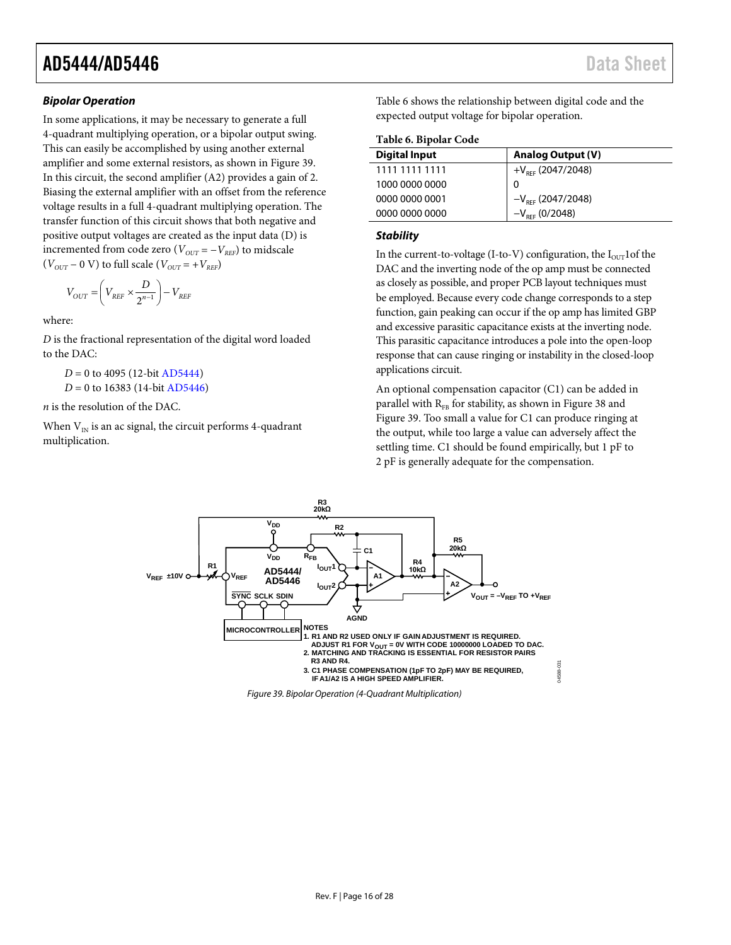#### *Bipolar Operation*

In some applications, it may be necessary to generate a full 4-quadrant multiplying operation, or a bipolar output swing. This can easily be accomplished by using another external amplifier and some external resistors, as shown i[n Figure](#page-15-0) 39. In this circuit, the second amplifier (A2) provides a gain of 2. Biasing the external amplifier with an offset from the reference voltage results in a full 4-quadrant multiplying operation. The transfer function of this circuit shows that both negative and positive output voltages are created as the input data (D) is incremented from code zero ( $V_{OUT} = -V_{REF}$ ) to midscale  $(V_{OUT} - 0 \text{ V})$  to full scale  $(V_{OUT} = +V_{REF})$ 

$$
V_{OUT}=\left(V_{REF}\times\frac{D}{2^{n-1}}\right)-V_{REF}
$$

where:

*D* is the fractional representation of the digital word loaded to the DAC:

*D* = 0 to 4095 (12-bi[t AD5444\)](http://www.analog.com/ad5444?doc=ad5444_5446.pdf)

*D* = 0 to 16383 (14-bit [AD5446\)](http://www.analog.com/ad5446?doc=ad5444_5446.pdf)

*n* is the resolution of the DAC.

When  $\mathrm{V_{\scriptscriptstyle{IN}}}$  is an ac signal, the circuit performs 4-quadrant multiplication.

[Table 6](#page-15-1) shows the relationship between digital code and the expected output voltage for bipolar operation.

<span id="page-15-1"></span>**Table 6. Bipolar Code** 

| <b>Digital Input</b> | <b>Analog Output (V)</b>                             |
|----------------------|------------------------------------------------------|
| 1111 1111 1111       | $+V_{RFF}$ (2047/2048)                               |
| 1000 0000 0000       | 0                                                    |
| 0000 0000 0001       |                                                      |
| 0000 0000 0000       | $-V_{REF}$ (2047/2048)<br>-V <sub>ref</sub> (0/2048) |
|                      |                                                      |

#### *Stability*

In the current-to-voltage (I-to-V) configuration, the  $I_{\text{OUT}}$ 1of the DAC and the inverting node of the op amp must be connected as closely as possible, and proper PCB layout techniques must be employed. Because every code change corresponds to a step function, gain peaking can occur if the op amp has limited GBP and excessive parasitic capacitance exists at the inverting node. This parasitic capacitance introduces a pole into the open-loop response that can cause ringing or instability in the closed-loop applications circuit.

An optional compensation capacitor (C1) can be added in parallel with  $R_{FB}$  for stability, as shown in [Figure 38](#page-14-4) and [Figure](#page-15-0) 39. Too small a value for C1 can produce ringing at the output, while too large a value can adversely affect the settling time. C1 should be found empirically, but 1 pF to 2 pF is generally adequate for the compensation.



<span id="page-15-0"></span>*Figure 39. Bipolar Operation (4-Quadrant Multiplication)*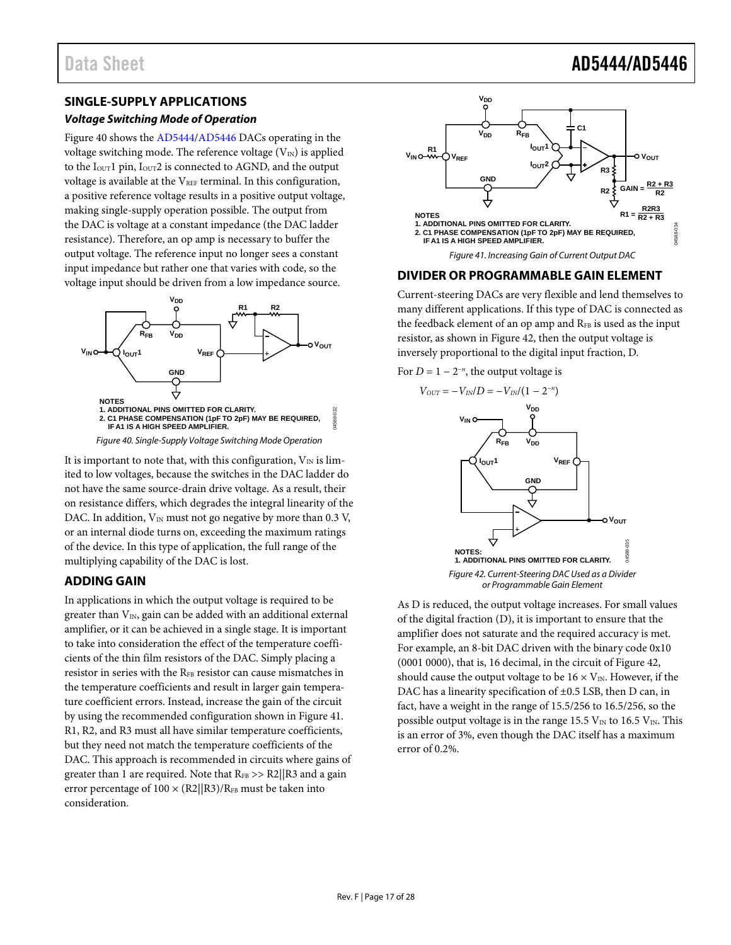### Data Sheet **AD5444/AD5446**

#### <span id="page-16-0"></span>**SINGLE-SUPPLY APPLICATIONS**

#### **Voltage Switching Mode of Operation**

[Figure 40 s](#page-16-3)hows th[e AD5444](http://www.analog.com/ad5444?doc=ad5444_5446.pdf)[/AD5446](http://www.analog.com/ad5446?doc=ad5444_5446.pdf) DACs operating in the voltage switching mode. The reference voltage  $(V_{\text{IN}})$  is applied to the  $I<sub>OUT</sub>1$  pin,  $I<sub>OUT</sub>2$  is connected to AGND, and the output voltage is available at the  $V_{REF}$  terminal. In this configuration, a positive reference voltage results in a positive output voltage, making single-supply operation possible. The output from the DAC is voltage at a constant impedance (the DAC ladder resistance). Therefore, an op amp is necessary to buffer the output voltage. The reference input no longer sees a constant input impedance but rather one that varies with code, so the voltage input should be driven from a low impedance source.



Figure 40. Single-Supply Voltage Switching Mode Operation

<span id="page-16-3"></span>It is important to note that, with this configuration,  $V_{IN}$  is limited to low voltages, because the switches in the DAC ladder do not have the same source-drain drive voltage. As a result, their on resistance differs, which degrades the integral linearity of the DAC. In addition,  $V_{IN}$  must not go negative by more than 0.3 V, or an internal diode turns on, exceeding the maximum ratings of the device. In this type of application, the full range of the multiplying capability of the DAC is lost.

#### <span id="page-16-1"></span>**ADDING GAIN**

In applications in which the output voltage is required to be greater than  $V_{IN}$ , gain can be added with an additional external amplifier, or it can be achieved in a single stage. It is important to take into consideration the effect of the temperature coefficients of the thin film resistors of the DAC. Simply placing a resistor in series with the RFB resistor can cause mismatches in the temperature coefficients and result in larger gain temperature coefficient errors. Instead, increase the gain of the circuit by using the recommended configuration shown i[n Figure 41.](#page-16-4)  R1, R2, and R3 must all have similar temperature coefficients, but they need not match the temperature coefficients of the DAC. This approach is recommended in circuits where gains of greater than 1 are required. Note that  $R_{FB} >> R2/|R3$  and a gain error percentage of  $100 \times (R2||R3)/R_{FB}$  must be taken into consideration.



#### <span id="page-16-4"></span><span id="page-16-2"></span>**DIVIDER OR PROGRAMMABLE GAIN ELEMENT**

Current-steering DACs are very flexible and lend themselves to many different applications. If this type of DAC is connected as the feedback element of an op amp and R<sub>FB</sub> is used as the input resistor, as shown i[n Figure 42,](#page-16-5) then the output voltage is inversely proportional to the digital input fraction, D.

For  $D = 1 - 2^{-n}$ , the output voltage is



<span id="page-16-5"></span>As D is reduced, the output voltage increases. For small values of the digital fraction (D), it is important to ensure that the amplifier does not saturate and the required accuracy is met. For example, an 8-bit DAC driven with the binary code 0x10 (0001 0000), that is, 16 decimal, in the circuit of [Figure 42,](#page-16-5)  should cause the output voltage to be  $16 \times V_{\text{IN}}$ . However, if the DAC has a linearity specification of  $\pm 0.5$  LSB, then D can, in fact, have a weight in the range of 15.5/256 to 16.5/256, so the possible output voltage is in the range 15.5  $V_{IN}$  to 16.5  $V_{IN}$ . This is an error of 3%, even though the DAC itself has a maximum error of 0.2%.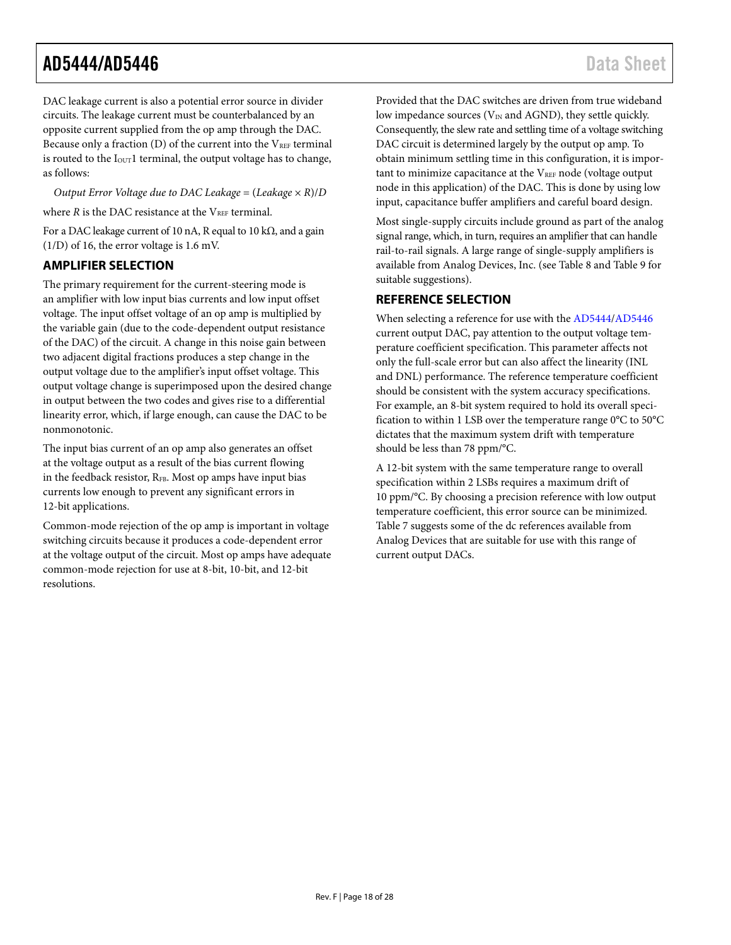<span id="page-17-0"></span>DAC leakage current is also a potential error source in divider circuits. The leakage current must be counterbalanced by an opposite current supplied from the op amp through the DAC. Because only a fraction  $(D)$  of the current into the  $V_{REF}$  terminal is routed to the  $I<sub>OUT</sub>1$  terminal, the output voltage has to change, as follows:

*Output Error Voltage due to DAC Leakage* =  $(Leakage \times R)/D$ 

where  $R$  is the DAC resistance at the  $V_{REF}$  terminal.

For a DAC leakage current of 10 nA, R equal to 10 kΩ, and a gain  $(1/D)$  of 16, the error voltage is 1.6 mV.

#### **AMPLIFIER SELECTION**

The primary requirement for the current-steering mode is an amplifier with low input bias currents and low input offset voltage. The input offset voltage of an op amp is multiplied by the variable gain (due to the code-dependent output resistance of the DAC) of the circuit. A change in this noise gain between two adjacent digital fractions produces a step change in the output voltage due to the amplifier's input offset voltage. This output voltage change is superimposed upon the desired change in output between the two codes and gives rise to a differential linearity error, which, if large enough, can cause the DAC to be nonmonotonic.

The input bias current of an op amp also generates an offset at the voltage output as a result of the bias current flowing in the feedback resistor,  $R_{FB}$ . Most op amps have input bias currents low enough to prevent any significant errors in 12-bit applications.

Common-mode rejection of the op amp is important in voltage switching circuits because it produces a code-dependent error at the voltage output of the circuit. Most op amps have adequate common-mode rejection for use at 8-bit, 10-bit, and 12-bit resolutions.

Provided that the DAC switches are driven from true wideband low impedance sources ( $V_{IN}$  and AGND), they settle quickly. Consequently, the slew rate and settling time of a voltage switching DAC circuit is determined largely by the output op amp. To obtain minimum settling time in this configuration, it is important to minimize capacitance at the  $V_{REF}$  node (voltage output node in this application) of the DAC. This is done by using low input, capacitance buffer amplifiers and careful board design.

Most single-supply circuits include ground as part of the analog signal range, which, in turn, requires an amplifier that can handle rail-to-rail signals. A large range of single-supply amplifiers is available from Analog Devices, Inc. (see [Table 8 a](#page-18-0)nd [Table 9 f](#page-18-1)or suitable suggestions).

#### **REFERENCE SELECTION**

When selecting a reference for use with the [AD5444/](http://www.analog.com/ad5444?doc=ad5444_5446.pdf)[AD5446](http://www.analog.com/ad5446?doc=ad5444_5446.pdf) current output DAC, pay attention to the output voltage temperature coefficient specification. This parameter affects not only the full-scale error but can also affect the linearity (INL and DNL) performance. The reference temperature coefficient should be consistent with the system accuracy specifications. For example, an 8-bit system required to hold its overall specification to within 1 LSB over the temperature range 0°C to 50°C dictates that the maximum system drift with temperature should be less than 78 ppm/°C.

A 12-bit system with the same temperature range to overall specification within 2 LSBs requires a maximum drift of 10 ppm/°C. By choosing a precision reference with low output temperature coefficient, this error source can be minimized. [Table 7 s](#page-18-2)uggests some of the dc references available from Analog Devices that are suitable for use with this range of current output DACs.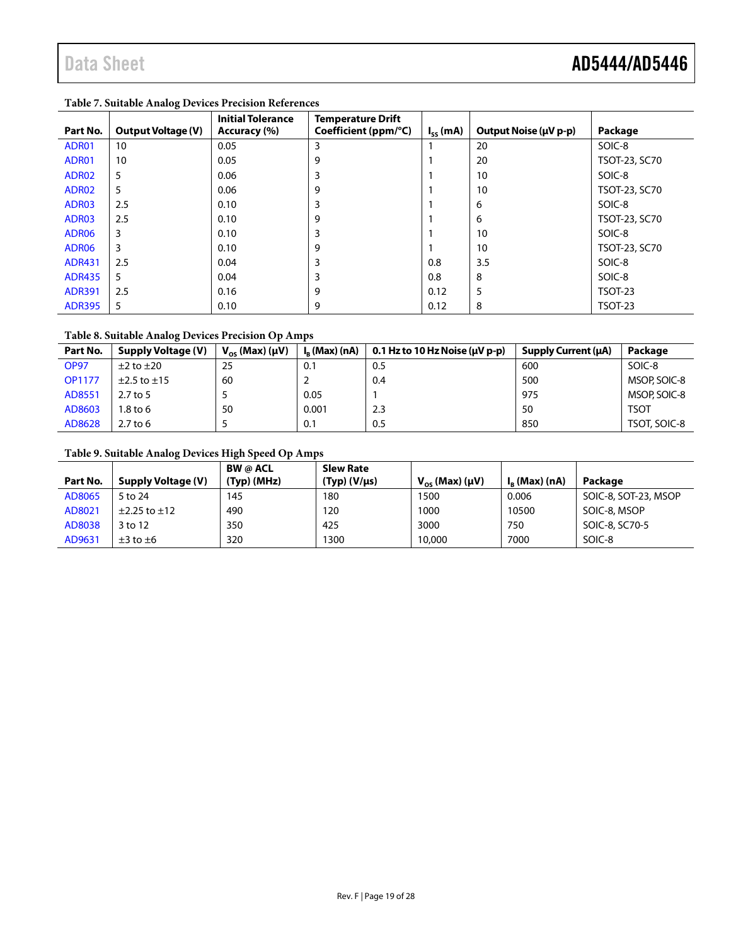| Part No.          | <b>Output Voltage (V)</b> | <b>Initial Tolerance</b><br>Accuracy (%) | <b>Temperature Drift</b><br>Coefficient (ppm/°C) | $I_{ss}$ (mA) | Output Noise (µV p-p) | Package        |
|-------------------|---------------------------|------------------------------------------|--------------------------------------------------|---------------|-----------------------|----------------|
| ADR01             | 10                        | 0.05                                     | 3                                                |               | 20                    | SOIC-8         |
| ADR01             | 10                        | 0.05                                     | 9                                                |               | 20                    | TSOT-23, SC70  |
| ADR02             | 5                         | 0.06                                     | 3                                                |               | 10                    | SOIC-8         |
| ADR02             | 5                         | 0.06                                     | 9                                                |               | 10                    | TSOT-23, SC70  |
| ADR03             | 2.5                       | 0.10                                     | 3                                                |               | 6                     | SOIC-8         |
| ADR03             | 2.5                       | 0.10                                     | 9                                                |               | 6                     | TSOT-23, SC70  |
| ADR <sub>06</sub> | 3                         | 0.10                                     | 3                                                |               | 10                    | SOIC-8         |
| ADR <sub>06</sub> | 3                         | 0.10                                     | 9                                                |               | 10                    | TSOT-23, SC70  |
| <b>ADR431</b>     | 2.5                       | 0.04                                     | 3                                                | 0.8           | 3.5                   | SOIC-8         |
| <b>ADR435</b>     | 5                         | 0.04                                     | 3                                                | 0.8           | 8                     | SOIC-8         |
| <b>ADR391</b>     | 2.5                       | 0.16                                     | 9                                                | 0.12          | 5                     | <b>TSOT-23</b> |
| <b>ADR395</b>     | 5                         | 0.10                                     | 9                                                | 0.12          | 8                     | <b>TSOT-23</b> |

#### <span id="page-18-2"></span>**Table 7. Suitable Analog Devices Precision References**

#### <span id="page-18-0"></span>**Table 8. Suitable Analog Devices Precision Op Amps**

| Part No.      | <b>Supply Voltage (V)</b> | $V_{\alpha s}$ (Max) ( $\mu V$ ) | $I_{R}$ (Max) (nA) | 0.1 Hz to 10 Hz Noise ( $\mu$ V p-p) | Supply Current (µA) | Package      |
|---------------|---------------------------|----------------------------------|--------------------|--------------------------------------|---------------------|--------------|
| <b>OP97</b>   | $\pm 2$ to $\pm 20$       | 25                               | 0.1                | 0.5                                  | 600                 | SOIC-8       |
| <b>OP1177</b> | $\pm$ 2.5 to $\pm$ 15     | 60                               |                    | 0.4                                  | 500                 | MSOP, SOIC-8 |
| AD8551        | $2.7$ to 5                |                                  | 0.05               |                                      | 975                 | MSOP, SOIC-8 |
| AD8603        | 1.8 to 6                  | 50                               | 0.001              | 2.3                                  | 50                  | <b>TSOT</b>  |
| AD8628        | $2.7$ to 6                |                                  | 0.1                | 0.5                                  | 850                 | TSOT, SOIC-8 |

### <span id="page-18-1"></span>**Table 9. Suitable Analog Devices High Speed Op Amps**

|          |                        | <b>BW</b> @ ACL | <b>Slew Rate</b>     |                           |                    |                      |
|----------|------------------------|-----------------|----------------------|---------------------------|--------------------|----------------------|
| Part No. | Supply Voltage (V)     | $(Typ)$ (MHz)   | $(Typ)$ (V/ $\mu$ s) | $V_{OS}$ (Max) ( $\mu$ V) | $I_{R}$ (Max) (nA) | Package              |
| AD8065   | 5 to 24                | 145             | 180                  | 1500                      | 0.006              | SOIC-8, SOT-23, MSOP |
| AD8021   | $\pm$ 2.25 to $\pm$ 12 | 490             | 120                  | 1000                      | 10500              | SOIC-8, MSOP         |
| AD8038   | 3 to 12                | 350             | 425                  | 3000                      | 750                | SOIC-8, SC70-5       |
| AD9631   | $\pm 3$ to $\pm 6$     | 320             | 1300                 | 10,000                    | 7000               | SOIC-8               |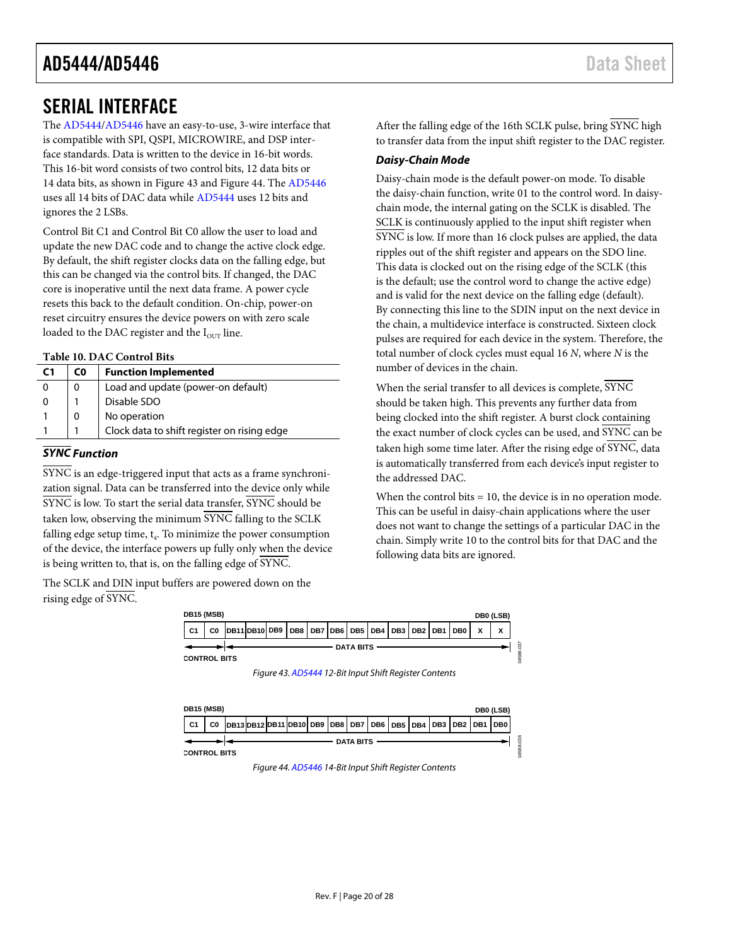### <span id="page-19-0"></span>SERIAL INTERFACE

The [AD5444](http://www.analog.com/ad5444?doc=ad5444_5446.pdf)[/AD5446](http://www.analog.com/ad5446?doc=ad5444_5446.pdf) have an easy-to-use, 3-wire interface that is compatible with SPI, QSPI, MICROWIRE, and DSP interface standards. Data is written to the device in 16-bit words. This 16-bit word consists of two control bits, 12 data bits or 14 data bits, as shown in [Figure 43](#page-19-1) an[d Figure 44.](#page-19-2) Th[e AD5446](http://www.analog.com/ad5446?doc=ad5444_5446.pdf) uses all 14 bits of DAC data whil[e AD5444](http://www.analog.com/ad5444?doc=ad5444_5446.pdf) uses 12 bits and ignores the 2 LSBs.

Control Bit C1 and Control Bit C0 allow the user to load and update the new DAC code and to change the active clock edge. By default, the shift register clocks data on the falling edge, but this can be changed via the control bits. If changed, the DAC core is inoperative until the next data frame. A power cycle resets this back to the default condition. On-chip, power-on reset circuitry ensures the device powers on with zero scale loaded to the DAC register and the  $I<sub>OUT</sub>$  line.

#### **Table 10. DAC Control Bits**

| C <sub>1</sub> | C0 | <b>Function Implemented</b>                 |
|----------------|----|---------------------------------------------|
|                | 0  | Load and update (power-on default)          |
|                |    | Disable SDO                                 |
|                | 0  | No operation                                |
|                |    | Clock data to shift register on rising edge |

### *SYNC Function*

SYNC is an edge-triggered input that acts as a frame synchronization signal. Data can be transferred into the device only while SYNC is low. To start the serial data transfer, SYNC should be taken low, observing the minimum SYNC falling to the SCLK falling edge setup time,  $t_4$ . To minimize the power consumption of the device, the interface powers up fully only when the device is being written to, that is, on the falling edge of SYNC.

<span id="page-19-1"></span>The SCLK and DIN input buffers are powered down on the rising edge of SYNC.

After the falling edge of the 16th SCLK pulse, bring SYNC high to transfer data from the input shift register to the DAC register.

#### *Daisy-Chain Mode*

Daisy-chain mode is the default power-on mode. To disable the daisy-chain function, write 01 to the control word. In daisychain mode, the internal gating on the SCLK is disabled. The SCLK is continuously applied to the input shift register when SYNC is low. If more than 16 clock pulses are applied, the data ripples out of the shift register and appears on the SDO line. This data is clocked out on the rising edge of the SCLK (this is the default; use the control word to change the active edge) and is valid for the next device on the falling edge (default). By connecting this line to the SDIN input on the next device in the chain, a multidevice interface is constructed. Sixteen clock pulses are required for each device in the system. Therefore, the total number of clock cycles must equal 16 *N*, where *N* is the number of devices in the chain.

When the serial transfer to all devices is complete, SYNC should be taken high. This prevents any further data from being clocked into the shift register. A burst clock containing the exact number of clock cycles can be used, and SYNC can be taken high some time later. After the rising edge of SYNC, data is automatically transferred from each device's input register to the addressed DAC.

When the control bits = 10, the device is in no operation mode. This can be useful in daisy-chain applications where the user does not want to change the settings of a particular DAC in the chain. Simply write 10 to the control bits for that DAC and the following data bits are ignored.



*Figure 43[. AD5444](http://www.analog.com/ad5444?doc=ad5444_5446.pdf) 12-Bit Input Shift Register Contents*

<span id="page-19-2"></span>

*Figure 44[. AD5446](http://www.analog.com/ad5446?doc=ad5444_5446.pdf) 14-Bit Input Shift Register Contents*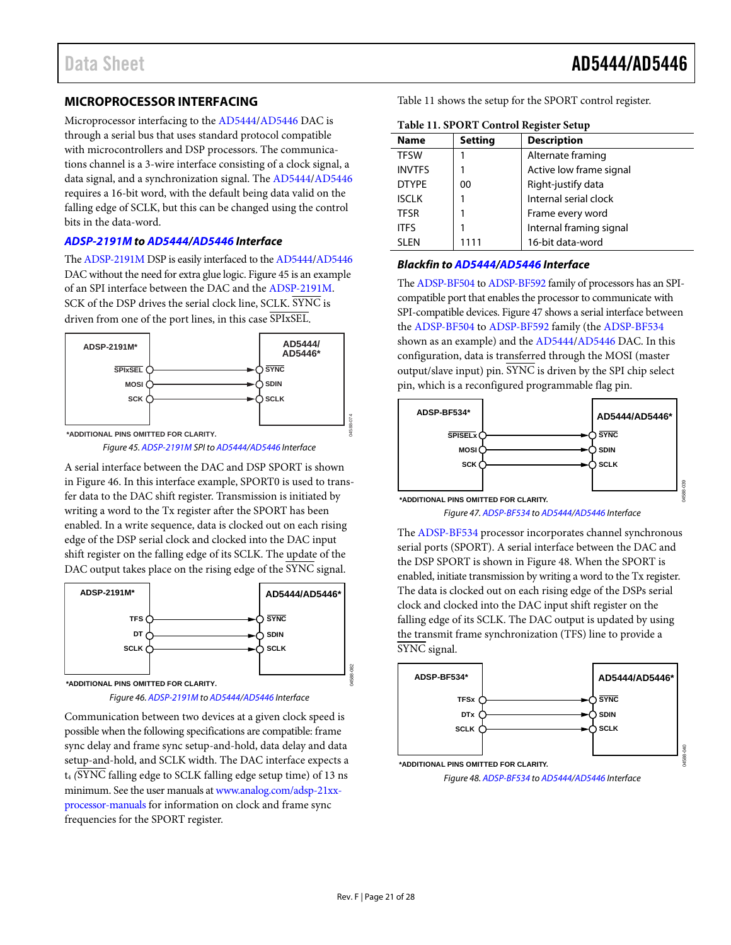#### <span id="page-20-0"></span>**MICROPROCESSOR INTERFACING**

Microprocessor interfacing to the [AD5444/](http://www.analog.com/ad5444?doc=ad5444_5446.pdf)[AD5446 D](http://www.analog.com/ad5446?doc=ad5444_5446.pdf)AC is through a serial bus that uses standard protocol compatible with microcontrollers and DSP processors. The communications channel is a 3-wire interface consisting of a clock signal, a data signal, and a synchronization signal. Th[e AD5444/](http://www.analog.com/ad5444?doc=ad5444_5446.pdf)[AD5446](http://www.analog.com/ad5446?doc=ad5444_5446.pdf) requires a 16-bit word, with the default being data valid on the falling edge of SCLK, but this can be changed using the control bits in the data-word.

#### **[ADSP-2191M t](http://www.analog.com/adsp-2191M?doc=ad5444_5446.pdf)[o AD5444](http://www.analog.com/ad5444?doc=ad5444_5446.pdf)[/AD5446 I](http://www.analog.com/ad5446?doc=ad5444_5446.pdf)nterface**

Th[e ADSP-2191M](http://www.analog.com/adsp-2191M?doc=ad5444_5446.pdf) DSP is easily interfaced to th[e AD5444/](http://www.analog.com/ad5444?doc=ad5444_5446.pdf)[AD5446](http://www.analog.com/ad5446?doc=ad5444_5446.pdf) DAC without the need for extra glue logic[. Figure 45 i](#page-20-1)s an example of an SPI interface between the DAC and th[e ADSP-2191M.](http://www.analog.com/adsp-2191M?doc=ad5444_5446.pdf)  SCK of the DSP drives the serial clock line, SCLK. SYNC is driven from one of the port lines, in this case SPIxSEL.



Figure 45[. ADSP-2191M S](http://www.analog.com/adsp-2191M?doc=ad5444_5446.pdf)PI t[o AD5444](http://www.analog.com/ad5444?doc=ad5444_5446.pdf)[/AD5446 I](http://www.analog.com/ad5446?doc=ad5444_5446.pdf)nterface

<span id="page-20-1"></span>A serial interface between the DAC and DSP SPORT is shown in [Figure 46.](#page-20-2) In this interface example, SPORT0 is used to transfer data to the DAC shift register. Transmission is initiated by writing a word to the Tx register after the SPORT has been enabled. In a write sequence, data is clocked out on each rising edge of the DSP serial clock and clocked into the DAC input shift register on the falling edge of its SCLK. The update of the DAC output takes place on the rising edge of the SYNC signal.



Figure 46[. ADSP-2191M t](http://www.analog.com/adsp-2191m?doc=ad5444_5446.pdf)[o AD5444/](http://www.analog.com/ad5444?doc=ad5444_5446.pdf)[AD5446 I](http://www.analog.com/ad5446?doc=ad5444_5446.pdf)nterface

<span id="page-20-2"></span>Communication between two devices at a given clock speed is possible when the following specifications are compatible: frame sync delay and frame sync setup-and-hold, data delay and data setup-and-hold, and SCLK width. The DAC interface expects a t4 *(*SYNC falling edge to SCLK falling edge setup time) of 13 ns minimum. See the user manuals a[t www.analog.com/adsp-21xx](http://www.analog.com/adsp-21xx-processor-manuals)[processor-manuals f](http://www.analog.com/adsp-21xx-processor-manuals)or information on clock and frame sync frequencies for the SPORT register.

[Table 11 s](#page-20-3)hows the setup for the SPORT control register.

| Twill The OKT Control Register Setup |                |                         |  |  |  |  |  |
|--------------------------------------|----------------|-------------------------|--|--|--|--|--|
| <b>Name</b>                          | <b>Setting</b> | <b>Description</b>      |  |  |  |  |  |
| <b>TFSW</b>                          |                | Alternate framing       |  |  |  |  |  |
| <b>INVTFS</b>                        |                | Active low frame signal |  |  |  |  |  |
| <b>DTYPE</b>                         | 00             | Right-justify data      |  |  |  |  |  |
| <b>ISCLK</b>                         |                | Internal serial clock   |  |  |  |  |  |
| <b>TFSR</b>                          |                | Frame every word        |  |  |  |  |  |
| <b>ITFS</b>                          |                | Internal framing signal |  |  |  |  |  |
| <b>SLEN</b>                          | 1111           | 16-bit data-word        |  |  |  |  |  |
|                                      |                |                         |  |  |  |  |  |

#### <span id="page-20-3"></span>**Table 11. SPORT Control Register Setup**

#### **Blackfin t[o AD5444/](http://www.analog.com/ad5444?doc=ad5444_5446.pdf)[AD5446 I](http://www.analog.com/ad5446?doc=ad5444_5446.pdf)nterface**

Th[e ADSP-BF504 t](http://www.analog.com/adsp-bf504?doc=ad5444_5446.pdf)[o ADSP-BF592 f](http://www.analog.com/adsp-bf592?doc=ad5444_5446.pdf)amily of processors has an SPIcompatible port that enables the processor to communicate with SPI-compatible devices[. Figure 47 s](#page-20-4)hows a serial interface between the [ADSP-BF504 t](http://www.analog.com/adsp-bf504?doc=ad5444_5446.pdf)[o ADSP-BF592](http://www.analog.com/adsp-bf592?doc=ad5444_5446.pdf) family (the [ADSP-BF534](http://www.analog.com/adsp-bf534?doc=ad5444_5446.pdf) shown as an example) and the [AD5444/](http://www.analog.com/ad5444?doc=ad5444_5446.pdf)[AD5446 D](http://www.analog.com/ad5446?doc=ad5444_5446.pdf)AC. In this configuration, data is transferred through the MOSI (master output/slave input) pin. SYNC is driven by the SPI chip select pin, which is a reconfigured programmable flag pin.



<span id="page-20-4"></span>The [ADSP-BF534 p](http://www.analog.com/adsp-bf534?doc=ad5444_5446.pdf)rocessor incorporates channel synchronous serial ports (SPORT). A serial interface between the DAC and the DSP SPORT is shown i[n Figure 48.](#page-20-5) When the SPORT is enabled, initiate transmission by writing a word to the Tx register. The data is clocked out on each rising edge of the DSPs serial clock and clocked into the DAC input shift register on the falling edge of its SCLK. The DAC output is updated by using the transmit frame synchronization (TFS) line to provide a SYNC signal.

<span id="page-20-5"></span>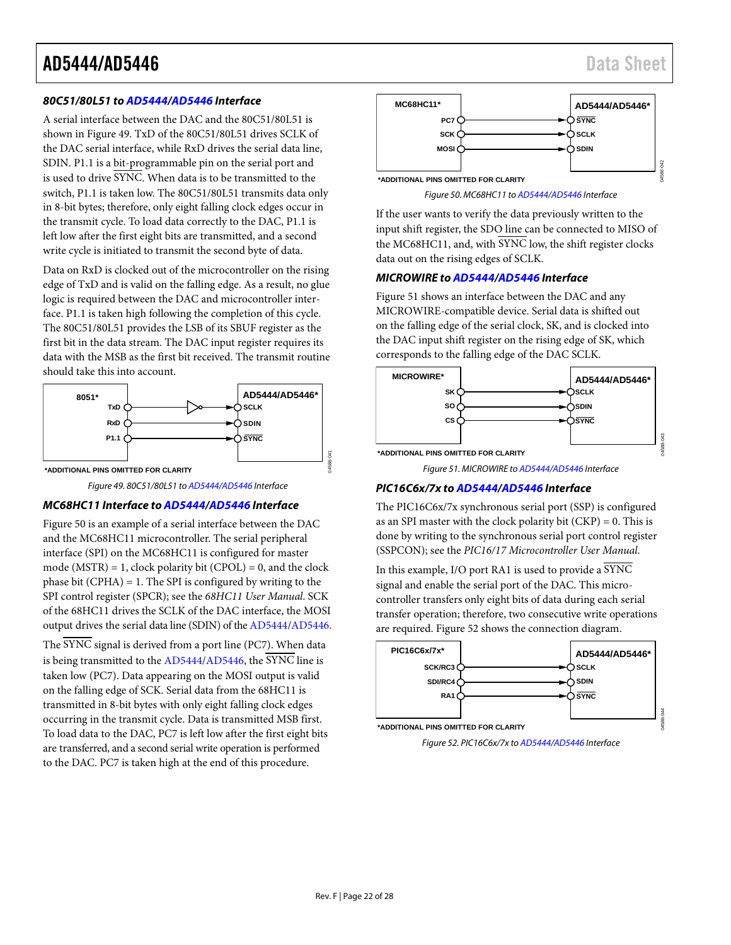#### *80C51/80L51 t[o AD5444/](http://www.analog.com/ad5444?doc=ad5444_5446.pdf)[AD5446](http://www.analog.com/ad5446?doc=ad5444_5446.pdf) Interface*

A serial interface between the DAC and the 80C51/80L51 is shown in [Figure 49.](#page-21-0) TxD of the 80C51/80L51 drives SCLK of the DAC serial interface, while RxD drives the serial data line, SDIN. P1.1 is a bit-programmable pin on the serial port and is used to drive SYNC. When data is to be transmitted to the switch, P1.1 is taken low. The 80C51/80L51 transmits data only in 8-bit bytes; therefore, only eight falling clock edges occur in the transmit cycle. To load data correctly to the DAC, P1.1 is left low after the first eight bits are transmitted, and a second write cycle is initiated to transmit the second byte of data.

Data on RxD is clocked out of the microcontroller on the rising edge of TxD and is valid on the falling edge. As a result, no glue logic is required between the DAC and microcontroller interface. P1.1 is taken high following the completion of this cycle. The 80C51/80L51 provides the LSB of its SBUF register as the first bit in the data stream. The DAC input register requires its data with the MSB as the first bit received. The transmit routine should take this into account.



*Figure 49. 80C51/80L51 t[o AD5444/](http://www.analog.com/ad5444?doc=ad5444_5446.pdf)[AD5446](http://www.analog.com/ad5446?doc=ad5444_5446.pdf) Interface*

#### <span id="page-21-0"></span>*MC68HC11 Interface t[o AD5444](http://www.analog.com/ad5444?doc=ad5444_5446.pdf)[/AD5446](http://www.analog.com/ad5446?doc=ad5444_5446.pdf) Interface*

[Figure 50](#page-21-1) is an example of a serial interface between the DAC and the MC68HC11 microcontroller. The serial peripheral interface (SPI) on the MC68HC11 is configured for master mode (MSTR) = 1, clock polarity bit (CPOL) = 0, and the clock phase bit  $(CPHA) = 1$ . The SPI is configured by writing to the SPI control register (SPCR); see the *68HC11 User Manual*. SCK of the 68HC11 drives the SCLK of the DAC interface, the MOSI output drives the serial data line (SDIN) of th[e AD5444](http://www.analog.com/ad5444?doc=ad5444_5446.pdf)[/AD5446.](http://www.analog.com/ad5446?doc=ad5444_5446.pdf)

The SYNC signal is derived from a port line (PC7). When data is being transmitted to th[e AD5444](http://www.analog.com/ad5444?doc=ad5444_5446.pdf)[/AD5446,](http://www.analog.com/ad5446?doc=ad5444_5446.pdf) the SYNC line is taken low (PC7). Data appearing on the MOSI output is valid on the falling edge of SCK. Serial data from the 68HC11 is transmitted in 8-bit bytes with only eight falling clock edges occurring in the transmit cycle. Data is transmitted MSB first. To load data to the DAC, PC7 is left low after the first eight bits are transferred, and a second serial write operation is performed to the DAC. PC7 is taken high at the end of this procedure.



*Figure 50. MC68HC11 t[o AD5444/](http://www.analog.com/ad5444?doc=ad5444_5446.pdf)[AD5446](http://www.analog.com/ad5446?doc=ad5444_5446.pdf) Interface*

<span id="page-21-1"></span>If the user wants to verify the data previously written to the input shift register, the SDO line can be connected to MISO of the MC68HC11, and, with SYNC low, the shift register clocks data out on the rising edges of SCLK.

#### *MICROWIRE to [AD5444/](http://www.analog.com/ad5444?doc=ad5444_5446.pdf)[AD5446](http://www.analog.com/ad5446?doc=ad5444_5446.pdf) Interface*

[Figure 51](#page-21-2) shows an interface between the DAC and any MICROWIRE-compatible device. Serial data is shifted out on the falling edge of the serial clock, SK, and is clocked into the DAC input shift register on the rising edge of SK, which corresponds to the falling edge of the DAC SCLK.



*Figure 51. MICROWIRE t[o AD5444/](http://www.analog.com/ad5444?doc=ad5444_5446.pdf)[AD5446](http://www.analog.com/ad5446?doc=ad5444_5446.pdf) Interface*

#### <span id="page-21-2"></span>*PIC16C6x/7x t[o AD5444](http://www.analog.com/ad5444?doc=ad5444_5446.pdf)[/AD5446](http://www.analog.com/ad5446?doc=ad5444_5446.pdf) Interface*

The PIC16C6x/7x synchronous serial port (SSP) is configured as an SPI master with the clock polarity bit  $(CKP) = 0$ . This is done by writing to the synchronous serial port control register (SSPCON); see the *PIC16/17 Microcontroller User Manual*.

In this example, I/O port RA1 is used to provide a  $\overline{\text{SYNC}}$ signal and enable the serial port of the DAC. This microcontroller transfers only eight bits of data during each serial transfer operation; therefore, two consecutive write operations are required[. Figure 52](#page-21-3) shows the connection diagram.



<span id="page-21-3"></span>

04588-044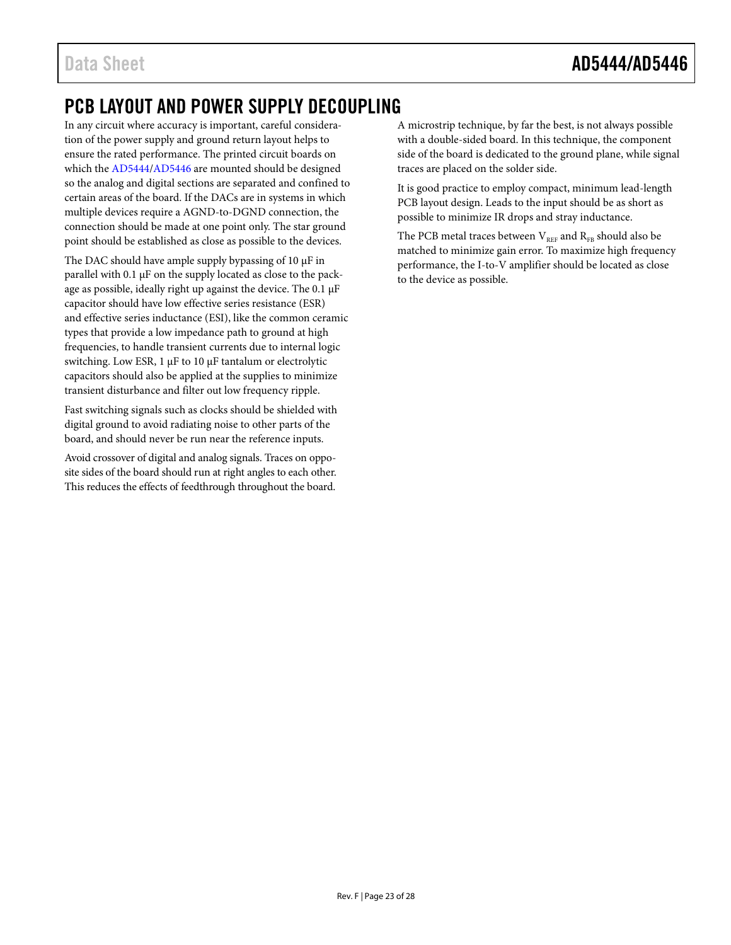### <span id="page-22-0"></span>PCB LAYOUT AND POWER SUPPLY DECOUPLING

In any circuit where accuracy is important, careful consideration of the power supply and ground return layout helps to ensure the rated performance. The printed circuit boards on which th[e AD5444/](http://www.analog.com/ad5444?doc=ad5444_5446.pdf)[AD5446](http://www.analog.com/ad5446?doc=ad5444_5446.pdf) are mounted should be designed so the analog and digital sections are separated and confined to certain areas of the board. If the DACs are in systems in which multiple devices require a AGND-to-DGND connection, the connection should be made at one point only. The star ground point should be established as close as possible to the devices.

The DAC should have ample supply bypassing of 10  $\mu$ F in parallel with 0.1 µF on the supply located as close to the package as possible, ideally right up against the device. The 0.1 µF capacitor should have low effective series resistance (ESR) and effective series inductance (ESI), like the common ceramic types that provide a low impedance path to ground at high frequencies, to handle transient currents due to internal logic switching. Low ESR, 1 µF to 10 µF tantalum or electrolytic capacitors should also be applied at the supplies to minimize transient disturbance and filter out low frequency ripple.

Fast switching signals such as clocks should be shielded with digital ground to avoid radiating noise to other parts of the board, and should never be run near the reference inputs.

Avoid crossover of digital and analog signals. Traces on opposite sides of the board should run at right angles to each other. This reduces the effects of feedthrough throughout the board.

A microstrip technique, by far the best, is not always possible with a double-sided board. In this technique, the component side of the board is dedicated to the ground plane, while signal traces are placed on the solder side.

It is good practice to employ compact, minimum lead-length PCB layout design. Leads to the input should be as short as possible to minimize IR drops and stray inductance.

The PCB metal traces between  $V_{REF}$  and  $R_{FB}$  should also be matched to minimize gain error. To maximize high frequency performance, the I-to-V amplifier should be located as close to the device as possible.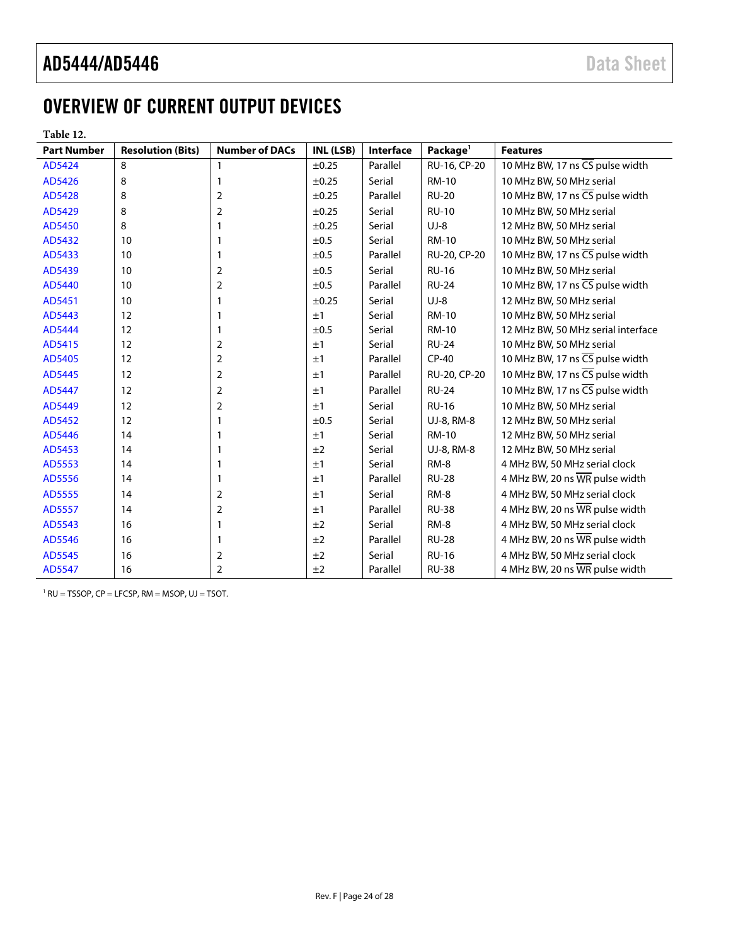## <span id="page-23-0"></span>OVERVIEW OF CURRENT OUTPUT DEVICES

**Table 12.**

| <b>Part Number</b> | <b>Resolution (Bits)</b> | <b>Number of DACs</b> | INL (LSB) | Interface | Package <sup>1</sup> | <b>Features</b>                                     |
|--------------------|--------------------------|-----------------------|-----------|-----------|----------------------|-----------------------------------------------------|
| AD5424             | 8                        | $\mathbf{1}$          | ±0.25     | Parallel  | RU-16, CP-20         | 10 MHz BW, 17 ns CS pulse width                     |
| AD5426             | 8                        | $\mathbf{1}$          | ±0.25     | Serial    | <b>RM-10</b>         | 10 MHz BW, 50 MHz serial                            |
| AD5428             | 8                        | $\overline{2}$        | ±0.25     | Parallel  | <b>RU-20</b>         | 10 MHz BW, 17 ns CS pulse width                     |
| AD5429             | 8                        | $\overline{2}$        | ±0.25     | Serial    | <b>RU-10</b>         | 10 MHz BW, 50 MHz serial                            |
| AD5450             | 8                        | $\mathbf{1}$          | ±0.25     | Serial    | $UJ-8$               | 12 MHz BW, 50 MHz serial                            |
| AD5432             | 10                       | 1                     | ±0.5      | Serial    | <b>RM-10</b>         | 10 MHz BW, 50 MHz serial                            |
| AD5433             | 10                       | $\mathbf{1}$          | ±0.5      | Parallel  | RU-20, CP-20         | 10 MHz BW, 17 ns CS pulse width                     |
| AD5439             | 10                       | $\overline{2}$        | ±0.5      | Serial    | <b>RU-16</b>         | 10 MHz BW, 50 MHz serial                            |
| AD5440             | 10                       | $\overline{2}$        | ±0.5      | Parallel  | <b>RU-24</b>         | 10 MHz BW, 17 ns $\overline{\text{CS}}$ pulse width |
| AD5451             | 10                       | 1                     | ±0.25     | Serial    | $UJ-8$               | 12 MHz BW, 50 MHz serial                            |
| AD5443             | 12                       | 1                     | ±1        | Serial    | <b>RM-10</b>         | 10 MHz BW, 50 MHz serial                            |
| AD5444             | 12                       | 1                     | ±0.5      | Serial    | <b>RM-10</b>         | 12 MHz BW, 50 MHz serial interface                  |
| AD5415             | 12                       | 2                     | ±1        | Serial    | <b>RU-24</b>         | 10 MHz BW, 50 MHz serial                            |
| AD5405             | 12                       | 2                     | ±1        | Parallel  | $CP-40$              | 10 MHz BW, 17 ns CS pulse width                     |
| AD5445             | 12                       | $\overline{2}$        | ±1        | Parallel  | RU-20, CP-20         | 10 MHz BW, 17 ns $\overline{\text{CS}}$ pulse width |
| AD5447             | 12                       | $\overline{2}$        | ±1        | Parallel  | <b>RU-24</b>         | 10 MHz BW, 17 ns CS pulse width                     |
| AD5449             | 12                       | $\overline{2}$        | ±1        | Serial    | <b>RU-16</b>         | 10 MHz BW, 50 MHz serial                            |
| AD5452             | 12                       | $\mathbf{1}$          | ±0.5      | Serial    | UJ-8, RM-8           | 12 MHz BW, 50 MHz serial                            |
| AD5446             | 14                       | 1                     | ±1        | Serial    | <b>RM-10</b>         | 12 MHz BW, 50 MHz serial                            |
| AD5453             | 14                       | 1                     | ±2        | Serial    | UJ-8, RM-8           | 12 MHz BW, 50 MHz serial                            |
| AD5553             | 14                       | 1                     | ±1        | Serial    | RM-8                 | 4 MHz BW, 50 MHz serial clock                       |
| AD5556             | 14                       | $\mathbf{1}$          | ±1        | Parallel  | <b>RU-28</b>         | 4 MHz BW, 20 ns WR pulse width                      |
| AD5555             | 14                       | 2                     | ±1        | Serial    | RM-8                 | 4 MHz BW, 50 MHz serial clock                       |
| AD5557             | 14                       | $\overline{2}$        | ±1        | Parallel  | <b>RU-38</b>         | 4 MHz BW, 20 ns WR pulse width                      |
| AD5543             | 16                       | 1                     | ±2        | Serial    | <b>RM-8</b>          | 4 MHz BW, 50 MHz serial clock                       |
| AD5546             | 16                       | 1                     | ±2        | Parallel  | <b>RU-28</b>         | 4 MHz BW, 20 ns WR pulse width                      |
| AD5545             | 16                       | $\overline{2}$        | ±2        | Serial    | <b>RU-16</b>         | 4 MHz BW, 50 MHz serial clock                       |
| AD5547             | 16                       | $\overline{2}$        | ±2        | Parallel  | <b>RU-38</b>         | 4 MHz BW, 20 ns WR pulse width                      |

 $1 RU = TSSOP$ ,  $CP = LFCSP$ ,  $RM = MSOP$ ,  $UJ = TSOT$ .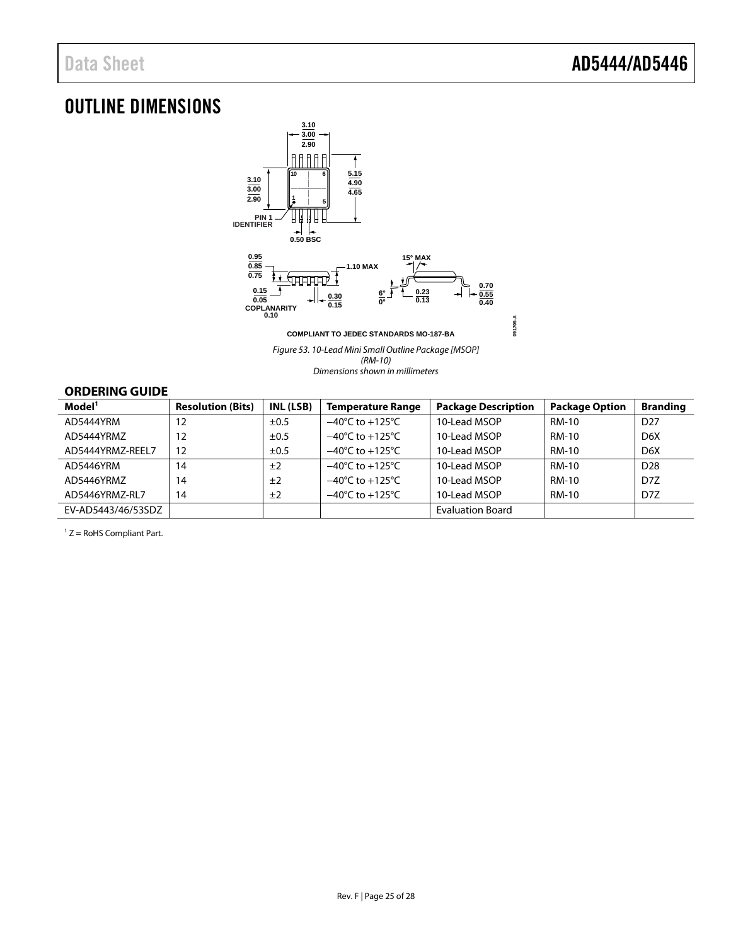### <span id="page-24-0"></span>OUTLINE DIMENSIONS



*Figure 53. 10-Lead Mini Small Outline Package [MSOP] (RM-10) Dimensions shown in millimeters*

#### <span id="page-24-1"></span>**ORDERING GUIDE**

| Model <sup>1</sup> | <b>Resolution (Bits)</b> | INL (LSB) | <b>Temperature Range</b>            | <b>Package Description</b> | <b>Package Option</b> | <b>Branding</b>  |
|--------------------|--------------------------|-----------|-------------------------------------|----------------------------|-----------------------|------------------|
| AD5444YRM          | 12                       | $\pm 0.5$ | $-40^{\circ}$ C to $+125^{\circ}$ C | 10-Lead MSOP               | RM-10                 | D <sub>27</sub>  |
| AD5444YRMZ         | 12                       | $\pm 0.5$ | $-40^{\circ}$ C to $+125^{\circ}$ C | 10-Lead MSOP               | RM-10                 | D <sub>6</sub> X |
| AD5444YRMZ-REEL7   | 12                       | ±0.5      | $-40^{\circ}$ C to $+125^{\circ}$ C | 10-Lead MSOP               | RM-10                 | D <sub>6</sub> X |
| AD5446YRM          | 14                       | ±2        | $-40^{\circ}$ C to $+125^{\circ}$ C | 10-Lead MSOP               | RM-10                 | D <sub>28</sub>  |
| AD5446YRMZ         | 14                       | ±2        | $-40^{\circ}$ C to $+125^{\circ}$ C | 10-Lead MSOP               | RM-10                 | D <sub>7</sub> Z |
| AD5446YRMZ-RL7     | 14                       | ±2        | $-40^{\circ}$ C to $+125^{\circ}$ C | 10-Lead MSOP               | RM-10                 | D <sub>7</sub> Z |
| EV-AD5443/46/53SDZ |                          |           |                                     | <b>Evaluation Board</b>    |                       |                  |

 $1 Z =$  RoHS Compliant Part.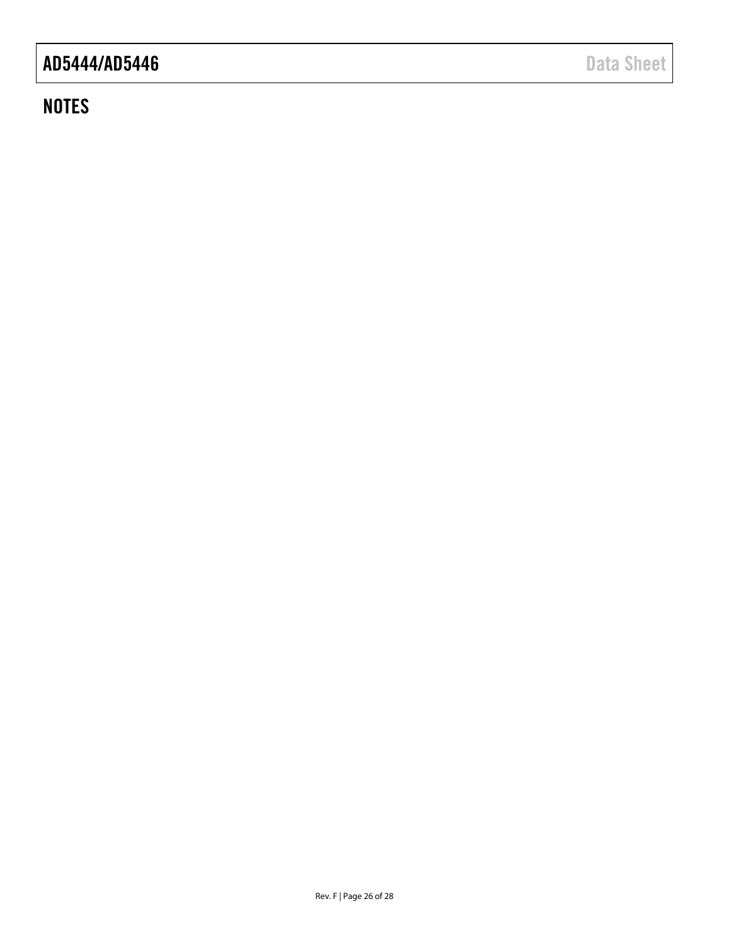### **NOTES**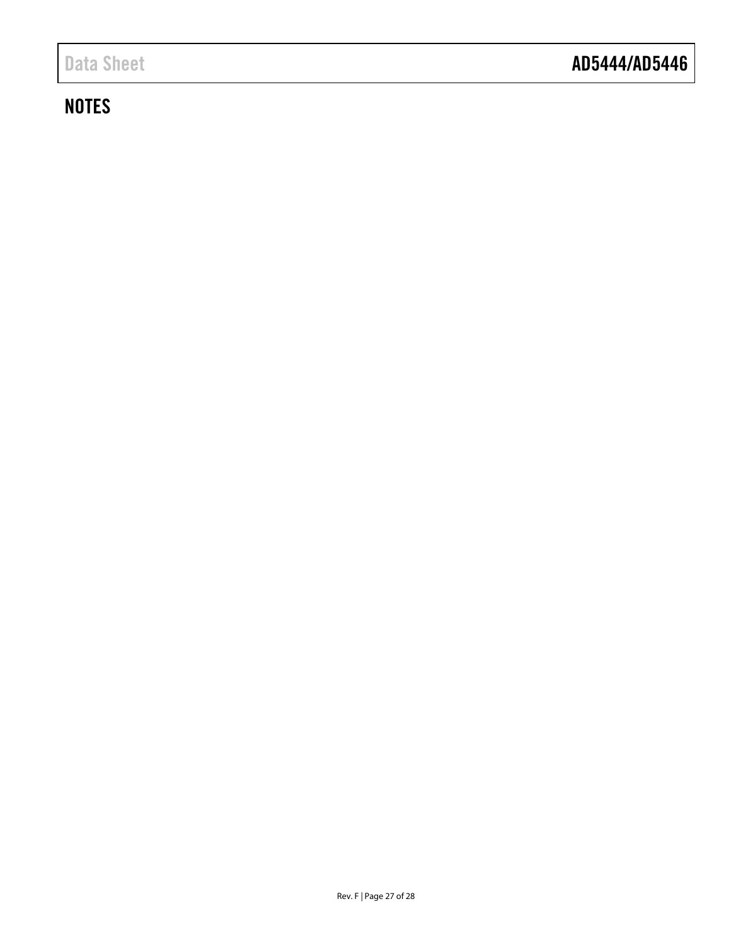## **NOTES**